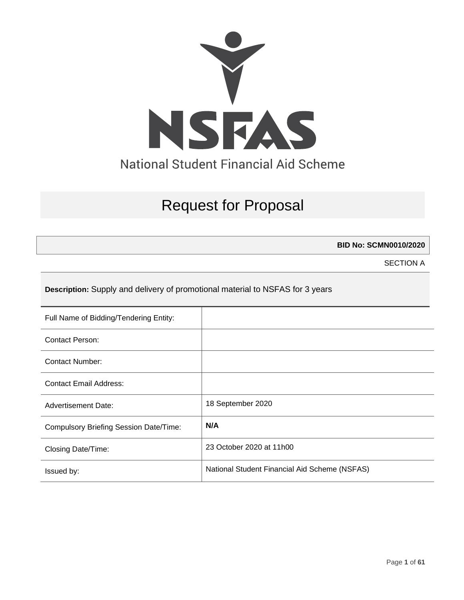

# Request for Proposal

**BID No: SCMN0010/2020**

SECTION A

**Description:** Supply and delivery of promotional material to NSFAS for 3 years

| Full Name of Bidding/Tendering Entity:        |                                               |
|-----------------------------------------------|-----------------------------------------------|
| Contact Person:                               |                                               |
| <b>Contact Number:</b>                        |                                               |
| <b>Contact Email Address:</b>                 |                                               |
| <b>Advertisement Date:</b>                    | 18 September 2020                             |
| <b>Compulsory Briefing Session Date/Time:</b> | N/A                                           |
| Closing Date/Time:                            | 23 October 2020 at 11h00                      |
| Issued by:                                    | National Student Financial Aid Scheme (NSFAS) |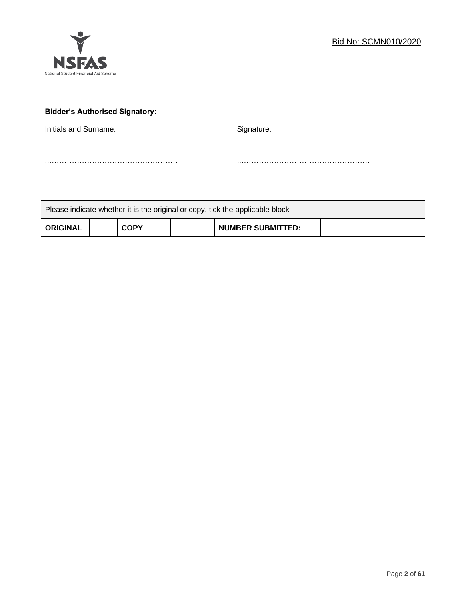

# **Bidder's Authorised Signatory:**

Initials and Surname: Signature: Signature:

..…………………………………………… ..……………………………………………

| Please indicate whether it is the original or copy, tick the applicable block |  |             |  |                          |  |  |
|-------------------------------------------------------------------------------|--|-------------|--|--------------------------|--|--|
| <b>ORIGINAL</b>                                                               |  | <b>COPY</b> |  | <b>NUMBER SUBMITTED:</b> |  |  |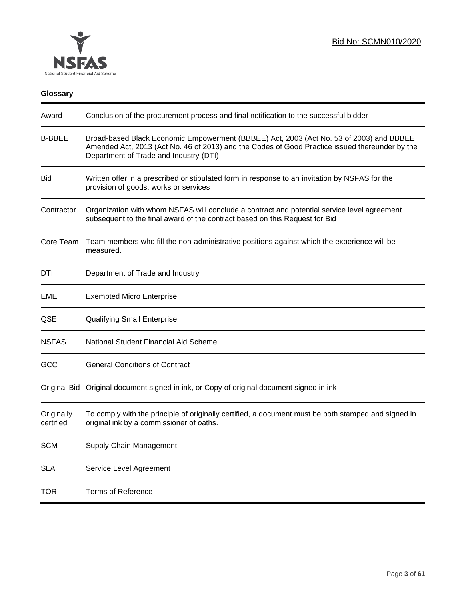

# **Glossary**

| Award                   | Conclusion of the procurement process and final notification to the successful bidder                                                                                                                                               |
|-------------------------|-------------------------------------------------------------------------------------------------------------------------------------------------------------------------------------------------------------------------------------|
| <b>B-BBEE</b>           | Broad-based Black Economic Empowerment (BBBEE) Act, 2003 (Act No. 53 of 2003) and BBBEE<br>Amended Act, 2013 (Act No. 46 of 2013) and the Codes of Good Practice issued thereunder by the<br>Department of Trade and Industry (DTI) |
| <b>Bid</b>              | Written offer in a prescribed or stipulated form in response to an invitation by NSFAS for the<br>provision of goods, works or services                                                                                             |
| Contractor              | Organization with whom NSFAS will conclude a contract and potential service level agreement<br>subsequent to the final award of the contract based on this Request for Bid                                                          |
| Core Team               | Team members who fill the non-administrative positions against which the experience will be<br>measured.                                                                                                                            |
| DTI                     | Department of Trade and Industry                                                                                                                                                                                                    |
| EME                     | <b>Exempted Micro Enterprise</b>                                                                                                                                                                                                    |
| QSE                     | <b>Qualifying Small Enterprise</b>                                                                                                                                                                                                  |
| <b>NSFAS</b>            | National Student Financial Aid Scheme                                                                                                                                                                                               |
| GCC                     | <b>General Conditions of Contract</b>                                                                                                                                                                                               |
|                         | Original Bid Original document signed in ink, or Copy of original document signed in ink                                                                                                                                            |
| Originally<br>certified | To comply with the principle of originally certified, a document must be both stamped and signed in<br>original ink by a commissioner of oaths.                                                                                     |
| <b>SCM</b>              | Supply Chain Management                                                                                                                                                                                                             |
| <b>SLA</b>              | Service Level Agreement                                                                                                                                                                                                             |
| <b>TOR</b>              | <b>Terms of Reference</b>                                                                                                                                                                                                           |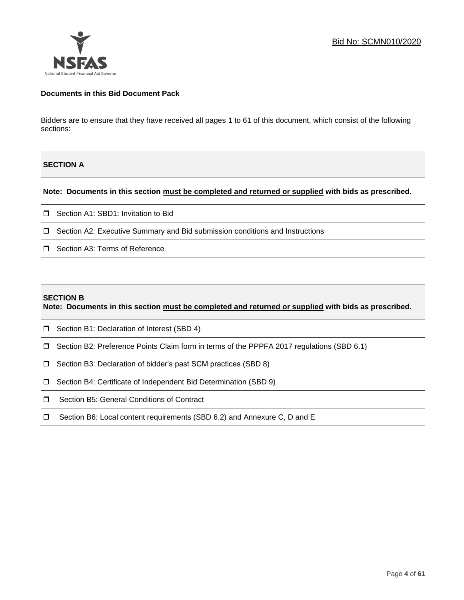

#### **Documents in this Bid Document Pack**

Bidders are to ensure that they have received all pages 1 to 61 of this document, which consist of the following sections:

## **SECTION A**

**Note: Documents in this section must be completed and returned or supplied with bids as prescribed.**

- □ Section A1: SBD1: Invitation to Bid
- □ Section A2: Executive Summary and Bid submission conditions and Instructions
- □ Section A3: Terms of Reference

#### **SECTION B**

**Note: Documents in this section must be completed and returned or supplied with bids as prescribed.**

- □ Section B1: Declaration of Interest (SBD 4)
- Section B2: Preference Points Claim form in terms of the PPPFA 2017 regulations (SBD 6.1)
- □ Section B3: Declaration of bidder's past SCM practices (SBD 8)
- □ Section B4: Certificate of Independent Bid Determination (SBD 9)
- **I** Section B5: General Conditions of Contract
- □ Section B6: Local content requirements (SBD 6.2) and Annexure C, D and E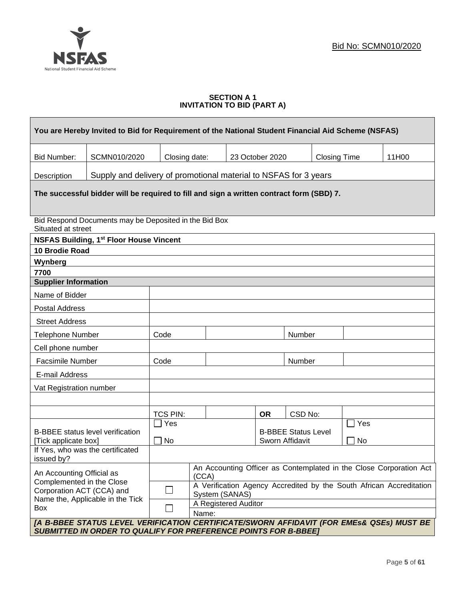

#### **SECTION A 1 INVITATION TO BID (PART A)**

|                                                        | You are Hereby Invited to Bid for Requirement of the National Student Financial Aid Scheme (NSFAS)                                                                 |                                                                                                                      |                      |  |                                               |         |                     |     |       |
|--------------------------------------------------------|--------------------------------------------------------------------------------------------------------------------------------------------------------------------|----------------------------------------------------------------------------------------------------------------------|----------------------|--|-----------------------------------------------|---------|---------------------|-----|-------|
| <b>Bid Number:</b>                                     | SCMN010/2020                                                                                                                                                       | Closing date:                                                                                                        |                      |  | 23 October 2020                               |         | <b>Closing Time</b> |     | 11H00 |
| Description                                            | Supply and delivery of promotional material to NSFAS for 3 years                                                                                                   |                                                                                                                      |                      |  |                                               |         |                     |     |       |
|                                                        | The successful bidder will be required to fill and sign a written contract form (SBD) 7.                                                                           |                                                                                                                      |                      |  |                                               |         |                     |     |       |
| Situated at street                                     | Bid Respond Documents may be Deposited in the Bid Box                                                                                                              |                                                                                                                      |                      |  |                                               |         |                     |     |       |
|                                                        | <b>NSFAS Building, 1st Floor House Vincent</b>                                                                                                                     |                                                                                                                      |                      |  |                                               |         |                     |     |       |
| <b>10 Brodie Road</b>                                  |                                                                                                                                                                    |                                                                                                                      |                      |  |                                               |         |                     |     |       |
| Wynberg                                                |                                                                                                                                                                    |                                                                                                                      |                      |  |                                               |         |                     |     |       |
| 7700<br><b>Supplier Information</b>                    |                                                                                                                                                                    |                                                                                                                      |                      |  |                                               |         |                     |     |       |
| Name of Bidder                                         |                                                                                                                                                                    |                                                                                                                      |                      |  |                                               |         |                     |     |       |
| <b>Postal Address</b>                                  |                                                                                                                                                                    |                                                                                                                      |                      |  |                                               |         |                     |     |       |
| <b>Street Address</b>                                  |                                                                                                                                                                    |                                                                                                                      |                      |  |                                               |         |                     |     |       |
| <b>Telephone Number</b>                                |                                                                                                                                                                    | Code                                                                                                                 |                      |  |                                               | Number  |                     |     |       |
| Cell phone number                                      |                                                                                                                                                                    |                                                                                                                      |                      |  |                                               |         |                     |     |       |
| <b>Facsimile Number</b>                                |                                                                                                                                                                    | Code                                                                                                                 |                      |  |                                               | Number  |                     |     |       |
| E-mail Address                                         |                                                                                                                                                                    |                                                                                                                      |                      |  |                                               |         |                     |     |       |
| Vat Registration number                                |                                                                                                                                                                    |                                                                                                                      |                      |  |                                               |         |                     |     |       |
|                                                        |                                                                                                                                                                    |                                                                                                                      |                      |  |                                               |         |                     |     |       |
|                                                        |                                                                                                                                                                    | TCS PIN:                                                                                                             |                      |  | <b>OR</b>                                     | CSD No: |                     |     |       |
|                                                        |                                                                                                                                                                    | Yes                                                                                                                  |                      |  |                                               |         |                     | Yes |       |
| [Tick applicate box]                                   | <b>B-BBEE</b> status level verification                                                                                                                            | No                                                                                                                   |                      |  | <b>B-BBEE Status Level</b><br>Sworn Affidavit |         | No                  |     |       |
| issued by?                                             | If Yes, who was the certificated                                                                                                                                   |                                                                                                                      |                      |  |                                               |         |                     |     |       |
|                                                        | An Accounting Officer as Contemplated in the Close Corporation Act<br>An Accounting Official as<br>(CCA)                                                           |                                                                                                                      |                      |  |                                               |         |                     |     |       |
| Complemented in the Close<br>Corporation ACT (CCA) and |                                                                                                                                                                    | A Verification Agency Accredited by the South African Accreditation<br>$\mathcal{L}_{\mathcal{A}}$<br>System (SANAS) |                      |  |                                               |         |                     |     |       |
| Box                                                    | Name the, Applicable in the Tick                                                                                                                                   |                                                                                                                      | A Registered Auditor |  |                                               |         |                     |     |       |
|                                                        |                                                                                                                                                                    |                                                                                                                      | Name:                |  |                                               |         |                     |     |       |
|                                                        | [A B-BBEE STATUS LEVEL VERIFICATION CERTIFICATE/SWORN AFFIDAVIT (FOR EMES& QSEs) MUST BE<br><b>SUBMITTED IN ORDER TO QUALIFY FOR PREFERENCE POINTS FOR B-BBEET</b> |                                                                                                                      |                      |  |                                               |         |                     |     |       |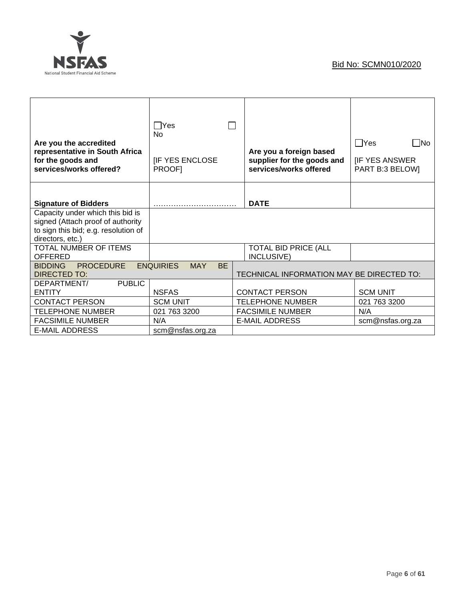

| Are you the accredited<br>representative in South Africa<br>for the goods and<br>services/works offered?                          | $\Box$ Yes<br>N <sub>0</sub><br><b>IF YES ENCLOSE</b><br><b>PROOFI</b> | Are you a foreign based<br>supplier for the goods and<br>services/works offered | $\Box$ Yes<br>l INo<br><b>IF YES ANSWER</b><br>PART B:3 BELOW] |
|-----------------------------------------------------------------------------------------------------------------------------------|------------------------------------------------------------------------|---------------------------------------------------------------------------------|----------------------------------------------------------------|
| <b>Signature of Bidders</b>                                                                                                       |                                                                        | <b>DATE</b>                                                                     |                                                                |
| Capacity under which this bid is<br>signed (Attach proof of authority<br>to sign this bid; e.g. resolution of<br>directors, etc.) |                                                                        |                                                                                 |                                                                |
| TOTAL NUMBER OF ITEMS<br><b>OFFERED</b>                                                                                           |                                                                        | <b>TOTAL BID PRICE (ALL</b><br>INCLUSIVE)                                       |                                                                |
| <b>PROCEDURE</b><br><b>BIDDING</b><br><b>DIRECTED TO:</b>                                                                         | <b>ENQUIRIES</b><br><b>MAY</b><br><b>BE</b>                            | TECHNICAL INFORMATION MAY BE DIRECTED TO:                                       |                                                                |
| <b>PUBLIC</b><br>DEPARTMENT/<br><b>ENTITY</b>                                                                                     | <b>NSFAS</b>                                                           | <b>CONTACT PERSON</b>                                                           | <b>SCM UNIT</b>                                                |
| <b>CONTACT PERSON</b>                                                                                                             | <b>SCM UNIT</b>                                                        | <b>TELEPHONE NUMBER</b>                                                         | 021 763 3200                                                   |
| <b>TELEPHONE NUMBER</b>                                                                                                           | 021 763 3200                                                           | <b>FACSIMILE NUMBER</b>                                                         | N/A                                                            |
| <b>FACSIMILE NUMBER</b>                                                                                                           | N/A                                                                    | <b>E-MAIL ADDRESS</b>                                                           | scm@nsfas.org.za                                               |
| <b>E-MAIL ADDRESS</b>                                                                                                             | scm@nsfas.org.za                                                       |                                                                                 |                                                                |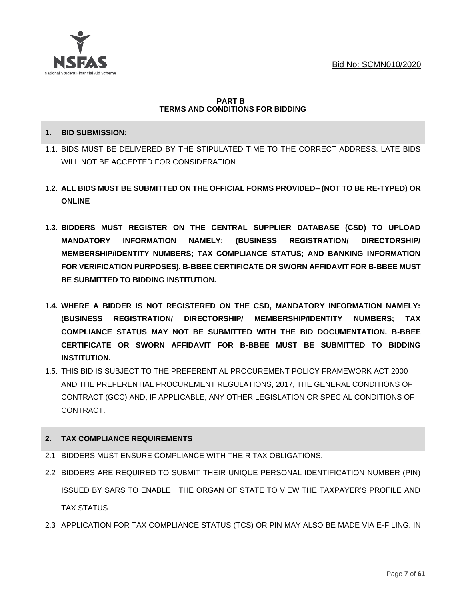

#### **PART B TERMS AND CONDITIONS FOR BIDDING**

## **1. BID SUBMISSION:**

- 1.1. BIDS MUST BE DELIVERED BY THE STIPULATED TIME TO THE CORRECT ADDRESS. LATE BIDS WILL NOT BE ACCEPTED FOR CONSIDERATION.
- **1.2. ALL BIDS MUST BE SUBMITTED ON THE OFFICIAL FORMS PROVIDED– (NOT TO BE RE-TYPED) OR ONLINE**
- **1.3. BIDDERS MUST REGISTER ON THE CENTRAL SUPPLIER DATABASE (CSD) TO UPLOAD MANDATORY INFORMATION NAMELY: (BUSINESS REGISTRATION/ DIRECTORSHIP/ MEMBERSHIP/IDENTITY NUMBERS; TAX COMPLIANCE STATUS; AND BANKING INFORMATION FOR VERIFICATION PURPOSES). B-BBEE CERTIFICATE OR SWORN AFFIDAVIT FOR B-BBEE MUST BE SUBMITTED TO BIDDING INSTITUTION.**
- **1.4. WHERE A BIDDER IS NOT REGISTERED ON THE CSD, MANDATORY INFORMATION NAMELY: (BUSINESS REGISTRATION/ DIRECTORSHIP/ MEMBERSHIP/IDENTITY NUMBERS; TAX COMPLIANCE STATUS MAY NOT BE SUBMITTED WITH THE BID DOCUMENTATION. B-BBEE CERTIFICATE OR SWORN AFFIDAVIT FOR B-BBEE MUST BE SUBMITTED TO BIDDING INSTITUTION.**
- 1.5. THIS BID IS SUBJECT TO THE PREFERENTIAL PROCUREMENT POLICY FRAMEWORK ACT 2000 AND THE PREFERENTIAL PROCUREMENT REGULATIONS, 2017, THE GENERAL CONDITIONS OF CONTRACT (GCC) AND, IF APPLICABLE, ANY OTHER LEGISLATION OR SPECIAL CONDITIONS OF CONTRACT.

## **2. TAX COMPLIANCE REQUIREMENTS**

- 2.1 BIDDERS MUST ENSURE COMPLIANCE WITH THEIR TAX OBLIGATIONS.
- 2.2 BIDDERS ARE REQUIRED TO SUBMIT THEIR UNIQUE PERSONAL IDENTIFICATION NUMBER (PIN) ISSUED BY SARS TO ENABLE THE ORGAN OF STATE TO VIEW THE TAXPAYER'S PROFILE AND TAX STATUS.
- 2.3 APPLICATION FOR TAX COMPLIANCE STATUS (TCS) OR PIN MAY ALSO BE MADE VIA E-FILING. IN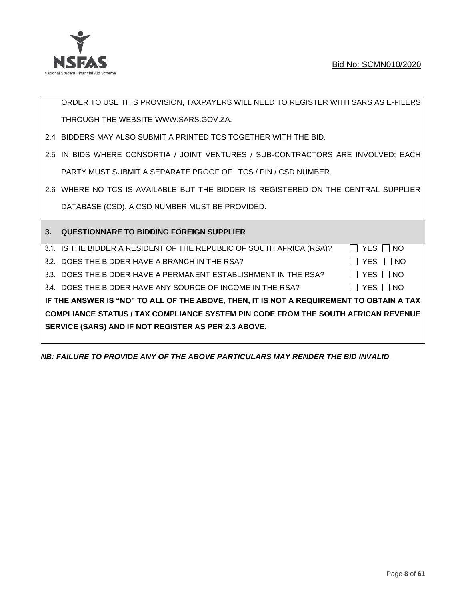

ORDER TO USE THIS PROVISION, TAXPAYERS WILL NEED TO REGISTER WITH SARS AS E-FILERS THROUGH THE WEBSITE [WWW.SARS.GOV.ZA.](http://www.sars.gov.za/)

- 2.4 BIDDERS MAY ALSO SUBMIT A PRINTED TCS TOGETHER WITH THE BID.
- 2.5 IN BIDS WHERE CONSORTIA / JOINT VENTURES / SUB-CONTRACTORS ARE INVOLVED; EACH PARTY MUST SUBMIT A SEPARATE PROOF OF TCS / PIN / CSD NUMBER.
- 2.6 WHERE NO TCS IS AVAILABLE BUT THE BIDDER IS REGISTERED ON THE CENTRAL SUPPLIER DATABASE (CSD), A CSD NUMBER MUST BE PROVIDED.

| 3. | QUESTIONNARE TO BIDDING FOREIGN SUPPLIER                                                 |               |
|----|------------------------------------------------------------------------------------------|---------------|
|    | 3.1. IS THE BIDDER A RESIDENT OF THE REPUBLIC OF SOUTH AFRICA (RSA)?                     | YES     NO    |
|    | 3.2. DOES THE BIDDER HAVE A BRANCH IN THE RSA?                                           | YES     NO    |
|    | 3.3. DOES THE BIDDER HAVE A PERMANENT ESTABLISHMENT IN THE RSA?                          | YES I INO     |
|    | 3.4. DOES THE BIDDER HAVE ANY SOURCE OF INCOME IN THE RSA?                               | YES $\Box$ NO |
|    | IF THE ANSWER IS "NO" TO ALL OF THE ABOVE, THEN, IT IS NOT A REQUIREMENT TO OBTAIN A TAX |               |
|    | <b>COMPLIANCE STATUS / TAX COMPLIANCE SYSTEM PIN CODE FROM THE SOUTH AFRICAN REVENUE</b> |               |
|    | SERVICE (SARS) AND IF NOT REGISTER AS PER 2.3 ABOVE.                                     |               |
|    |                                                                                          |               |

*NB: FAILURE TO PROVIDE ANY OF THE ABOVE PARTICULARS MAY RENDER THE BID INVALID.*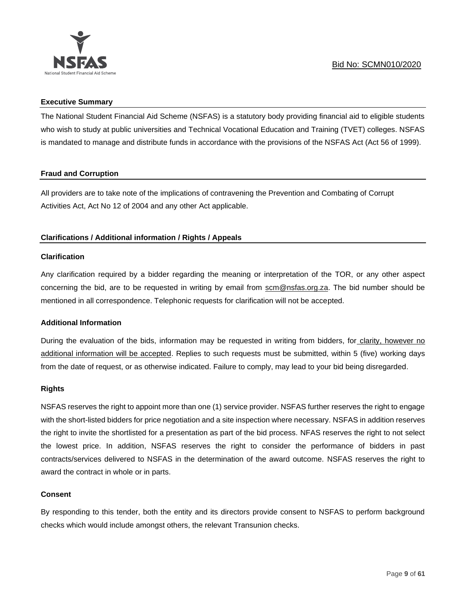

#### **Executive Summary**

The National Student Financial Aid Scheme (NSFAS) is a statutory body providing financial aid to eligible students who wish to study at public universities and Technical Vocational Education and Training (TVET) colleges. NSFAS is mandated to manage and distribute funds in accordance with the provisions of the NSFAS Act (Act 56 of 1999).

## **Fraud and Corruption**

All providers are to take note of the implications of contravening the Prevention and Combating of Corrupt Activities Act, Act No 12 of 2004 and any other Act applicable.

## **Clarifications / Additional information / Rights / Appeals**

## **Clarification**

Any clarification required by a bidder regarding the meaning or interpretation of the TOR, or any other aspect concerning the bid, are to be requested in writing by email from scm@nsfas.org.za. The bid number should be mentioned in all correspondence. Telephonic requests for clarification will not be accepted.

## **Additional Information**

During the evaluation of the bids, information may be requested in writing from bidders, for clarity, however no additional information will be accepted. Replies to such requests must be submitted, within 5 (five) working days from the date of request, or as otherwise indicated. Failure to comply, may lead to your bid being disregarded.

#### **Rights**

NSFAS reserves the right to appoint more than one (1) service provider. NSFAS further reserves the right to engage with the short-listed bidders for price negotiation and a site inspection where necessary. NSFAS in addition reserves the right to invite the shortlisted for a presentation as part of the bid process. NFAS reserves the right to not select the lowest price. In addition, NSFAS reserves the right to consider the performance of bidders in past contracts/services delivered to NSFAS in the determination of the award outcome. NSFAS reserves the right to award the contract in whole or in parts.

## **Consent**

By responding to this tender, both the entity and its directors provide consent to NSFAS to perform background checks which would include amongst others, the relevant Transunion checks.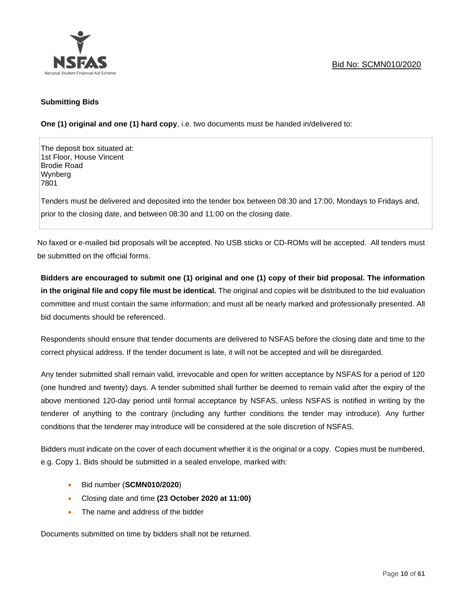

#### **Submitting Bids**

**One (1) original and one (1) hard copy**, i.e. two documents must be handed in/delivered to:

The deposit box situated at: 1st Floor, House Vincent Brodie Road Wynberg 7801 Tenders must be delivered and deposited into the tender box between 08:30 and 17:00, Mondays to Fridays and, prior to the closing date, and between 08:30 and 11:00 on the closing date.

No faxed or e-mailed bid proposals will be accepted. No USB sticks or CD-ROMs will be accepted. All tenders must be submitted on the official forms.

**Bidders are encouraged to submit one (1) original and one (1) copy of their bid proposal. The information in the original file and copy file must be identical.** The original and copies will be distributed to the bid evaluation committee and must contain the same information; and must all be nearly marked and professionally presented. All bid documents should be referenced.

Respondents should ensure that tender documents are delivered to NSFAS before the closing date and time to the correct physical address. If the tender document is late, it will not be accepted and will be disregarded.

Any tender submitted shall remain valid, irrevocable and open for written acceptance by NSFAS for a period of 120 (one hundred and twenty) days. A tender submitted shall further be deemed to remain valid after the expiry of the above mentioned 120-day period until formal acceptance by NSFAS, unless NSFAS is notified in writing by the tenderer of anything to the contrary (including any further conditions the tender may introduce). Any further conditions that the tenderer may introduce will be considered at the sole discretion of NSFAS.

Bidders must indicate on the cover of each document whether it is the original or a copy. Copies must be numbered, e.g. Copy 1. Bids should be submitted in a sealed envelope, marked with:

- Bid number (**SCMN010/2020**)
- Closing date and time **(23 October 2020 at 11:00)**
- The name and address of the bidder

Documents submitted on time by bidders shall not be returned.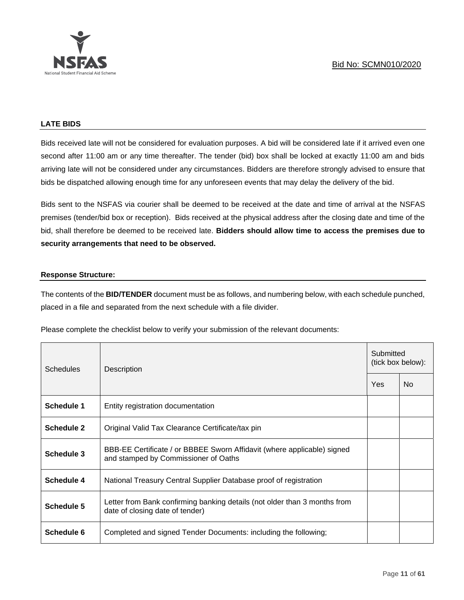

#### **LATE BIDS**

Bids received late will not be considered for evaluation purposes. A bid will be considered late if it arrived even one second after 11:00 am or any time thereafter. The tender (bid) box shall be locked at exactly 11:00 am and bids arriving late will not be considered under any circumstances. Bidders are therefore strongly advised to ensure that bids be dispatched allowing enough time for any unforeseen events that may delay the delivery of the bid.

Bids sent to the NSFAS via courier shall be deemed to be received at the date and time of arrival at the NSFAS premises (tender/bid box or reception). Bids received at the physical address after the closing date and time of the bid, shall therefore be deemed to be received late. **Bidders should allow time to access the premises due to security arrangements that need to be observed.**

#### **Response Structure:**

The contents of the **BID/TENDER** document must be as follows, and numbering below, with each schedule punched, placed in a file and separated from the next schedule with a file divider.

Please complete the checklist below to verify your submission of the relevant documents:

| <b>Schedules</b>  | Description                                                                                                     |     | Submitted<br>(tick box below): |  |  |
|-------------------|-----------------------------------------------------------------------------------------------------------------|-----|--------------------------------|--|--|
|                   |                                                                                                                 | Yes | No.                            |  |  |
| Schedule 1        | Entity registration documentation                                                                               |     |                                |  |  |
| <b>Schedule 2</b> | Original Valid Tax Clearance Certificate/tax pin                                                                |     |                                |  |  |
| <b>Schedule 3</b> | BBB-EE Certificate / or BBBEE Sworn Affidavit (where applicable) signed<br>and stamped by Commissioner of Oaths |     |                                |  |  |
| Schedule 4        | National Treasury Central Supplier Database proof of registration                                               |     |                                |  |  |
| Schedule 5        | Letter from Bank confirming banking details (not older than 3 months from<br>date of closing date of tender)    |     |                                |  |  |
| Schedule 6        | Completed and signed Tender Documents: including the following;                                                 |     |                                |  |  |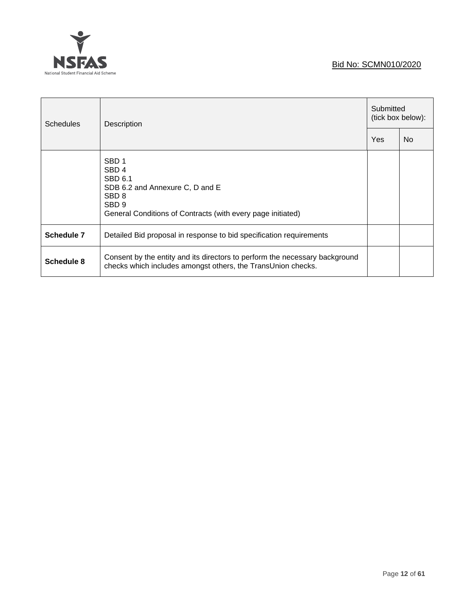

| <b>Schedules</b> | Description                                                                                                                                                                           |  | Submitted<br>(tick box below): |  |
|------------------|---------------------------------------------------------------------------------------------------------------------------------------------------------------------------------------|--|--------------------------------|--|
|                  |                                                                                                                                                                                       |  | N <sub>o</sub>                 |  |
|                  | SBD <sub>1</sub><br>SBD <sub>4</sub><br><b>SBD 6.1</b><br>SDB 6.2 and Annexure C, D and E<br>SBD <sub>8</sub><br>SBD 9<br>General Conditions of Contracts (with every page initiated) |  |                                |  |
| Schedule 7       | Detailed Bid proposal in response to bid specification requirements                                                                                                                   |  |                                |  |
| Schedule 8       | Consent by the entity and its directors to perform the necessary background<br>checks which includes amongst others, the TransUnion checks.                                           |  |                                |  |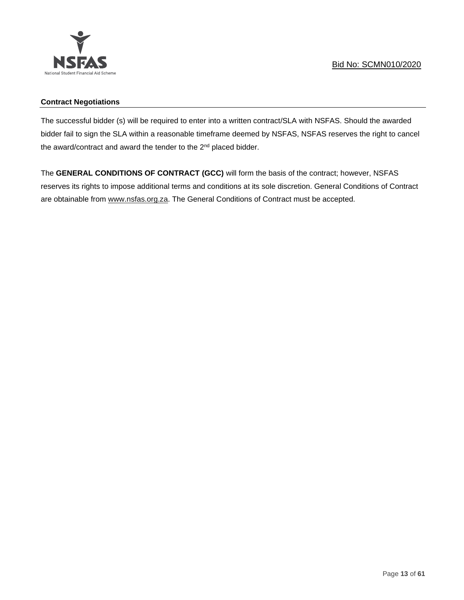

## **Contract Negotiations**

The successful bidder (s) will be required to enter into a written contract/SLA with NSFAS. Should the awarded bidder fail to sign the SLA within a reasonable timeframe deemed by NSFAS, NSFAS reserves the right to cancel the award/contract and award the tender to the 2<sup>nd</sup> placed bidder.

The **GENERAL CONDITIONS OF CONTRACT (GCC)** will form the basis of the contract; however, NSFAS reserves its rights to impose additional terms and conditions at its sole discretion. General Conditions of Contract are obtainable from [www.nsfas.org.za.](http://www.nsfas.org.za/) The General Conditions of Contract must be accepted.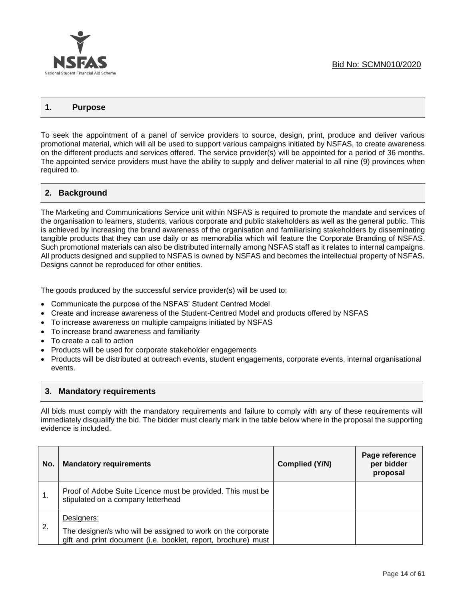

#### **1. Purpose**

To seek the appointment of a panel of service providers to source, design, print, produce and deliver various promotional material, which will all be used to support various campaigns initiated by NSFAS, to create awareness on the different products and services offered. The service provider(s) will be appointed for a period of 36 months. The appointed service providers must have the ability to supply and deliver material to all nine (9) provinces when required to.

## **2. Background**

The Marketing and Communications Service unit within NSFAS is required to promote the mandate and services of the organisation to learners, students, various corporate and public stakeholders as well as the general public. This is achieved by increasing the brand awareness of the organisation and familiarising stakeholders by disseminating tangible products that they can use daily or as memorabilia which will feature the Corporate Branding of NSFAS. Such promotional materials can also be distributed internally among NSFAS staff as it relates to internal campaigns. All products designed and supplied to NSFAS is owned by NSFAS and becomes the intellectual property of NSFAS. Designs cannot be reproduced for other entities.

The goods produced by the successful service provider(s) will be used to:

- Communicate the purpose of the NSFAS' Student Centred Model
- Create and increase awareness of the Student-Centred Model and products offered by NSFAS
- To increase awareness on multiple campaigns initiated by NSFAS
- To increase brand awareness and familiarity
- To create a call to action
- Products will be used for corporate stakeholder engagements
- Products will be distributed at outreach events, student engagements, corporate events, internal organisational events.

## **3. Mandatory requirements**

All bids must comply with the mandatory requirements and failure to comply with any of these requirements will immediately disqualify the bid. The bidder must clearly mark in the table below where in the proposal the supporting evidence is included.

| No. | <b>Mandatory requirements</b>                                                                                                               | Complied (Y/N) | Page reference<br>per bidder<br>proposal |
|-----|---------------------------------------------------------------------------------------------------------------------------------------------|----------------|------------------------------------------|
|     | Proof of Adobe Suite Licence must be provided. This must be<br>stipulated on a company letterhead                                           |                |                                          |
| 2.  | Designers:<br>The designer/s who will be assigned to work on the corporate<br>gift and print document (i.e. booklet, report, brochure) must |                |                                          |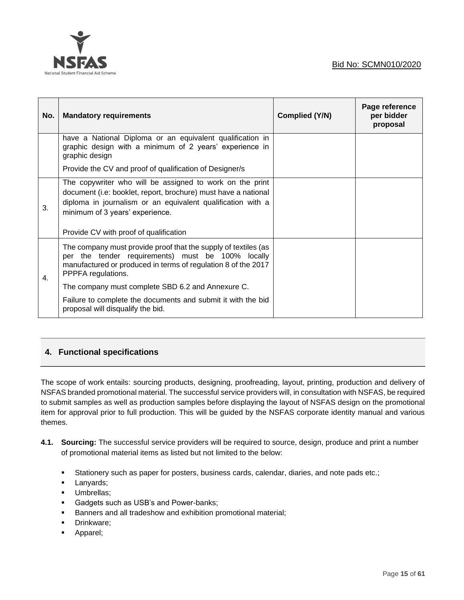



| No. | <b>Mandatory requirements</b>                                                                                                                                                                                                                                          | Complied (Y/N) | Page reference<br>per bidder<br>proposal |
|-----|------------------------------------------------------------------------------------------------------------------------------------------------------------------------------------------------------------------------------------------------------------------------|----------------|------------------------------------------|
|     | have a National Diploma or an equivalent qualification in<br>graphic design with a minimum of 2 years' experience in<br>graphic design                                                                                                                                 |                |                                          |
|     | Provide the CV and proof of qualification of Designer/s                                                                                                                                                                                                                |                |                                          |
| 3.  | The copywriter who will be assigned to work on the print<br>document (i.e: booklet, report, brochure) must have a national<br>diploma in journalism or an equivalent qualification with a<br>minimum of 3 years' experience.<br>Provide CV with proof of qualification |                |                                          |
| 4.  | The company must provide proof that the supply of textiles (as<br>per the tender requirements) must be 100% locally<br>manufactured or produced in terms of regulation 8 of the 2017<br>PPPFA regulations.                                                             |                |                                          |
|     | The company must complete SBD 6.2 and Annexure C.                                                                                                                                                                                                                      |                |                                          |
|     | Failure to complete the documents and submit it with the bid<br>proposal will disqualify the bid.                                                                                                                                                                      |                |                                          |

# **4. Functional specifications**

The scope of work entails: sourcing products, designing, proofreading, layout, printing, production and delivery of NSFAS branded promotional material. The successful service providers will, in consultation with NSFAS, be required to submit samples as well as production samples before displaying the layout of NSFAS design on the promotional item for approval prior to full production. This will be guided by the NSFAS corporate identity manual and various themes.

- **4.1. Sourcing:** The successful service providers will be required to source, design, produce and print a number of promotional material items as listed but not limited to the below:
	- Stationery such as paper for posters, business cards, calendar, diaries, and note pads etc.;
	- **·** Lanyards;
	- Umbrellas;
	- Gadgets such as USB's and Power-banks;
	- Banners and all tradeshow and exhibition promotional material;
	- **•** Drinkware;
	- Apparel;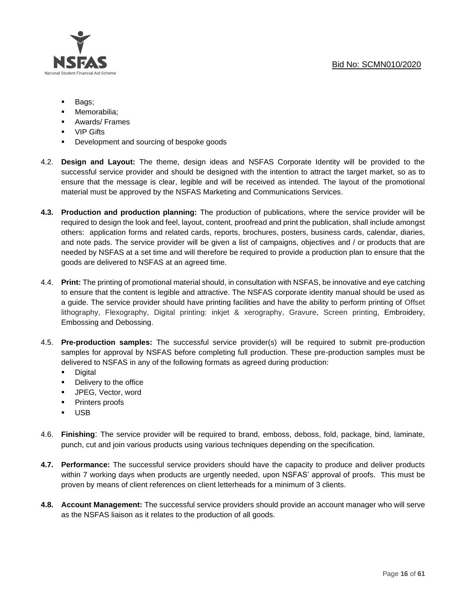

- Bags;
- Memorabilia:
- Awards/ Frames
- VIP Gifts
- Development and sourcing of bespoke goods
- 4.2. **Design and Layout:** The theme, design ideas and NSFAS Corporate Identity will be provided to the successful service provider and should be designed with the intention to attract the target market, so as to ensure that the message is clear, legible and will be received as intended. The layout of the promotional material must be approved by the NSFAS Marketing and Communications Services.
- **4.3. Production and production planning:** The production of publications, where the service provider will be required to design the look and feel, layout, content, proofread and print the publication, shall include amongst others: application forms and related cards, reports, brochures, posters, business cards, calendar, diaries, and note pads. The service provider will be given a list of campaigns, objectives and / or products that are needed by NSFAS at a set time and will therefore be required to provide a production plan to ensure that the goods are delivered to NSFAS at an agreed time.
- 4.4. **Print:** The printing of promotional material should, in consultation with NSFAS, be innovative and eye catching to ensure that the content is legible and attractive. The NSFAS corporate identity manual should be used as a guide. The service provider should have printing facilities and have the ability to perform printing of Offset lithography, Flexography, Digital printing: inkjet & xerography, Gravure, Screen printing, Embroidery, Embossing and Debossing.
- 4.5. **Pre-production samples:** The successful service provider(s) will be required to submit pre-production samples for approval by NSFAS before completing full production. These pre-production samples must be delivered to NSFAS in any of the following formats as agreed during production:
	- Digital
	- Delivery to the office
	- JPEG, Vector, word
	- Printers proofs
	- USB
- 4.6. **Finishing**: The service provider will be required to brand, emboss, deboss, fold, package, bind, laminate, punch, cut and join various products using various techniques depending on the specification.
- **4.7. Performance:** The successful service providers should have the capacity to produce and deliver products within 7 working days when products are urgently needed, upon NSFAS' approval of proofs. This must be proven by means of client references on client letterheads for a minimum of 3 clients.
- **4.8. Account Management:** The successful service providers should provide an account manager who will serve as the NSFAS liaison as it relates to the production of all goods.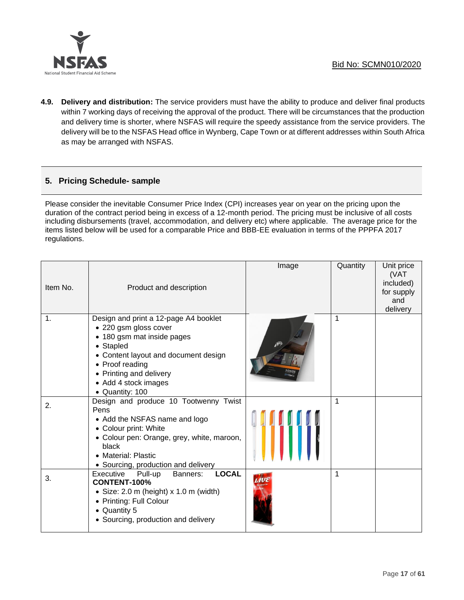

**4.9. Delivery and distribution:** The service providers must have the ability to produce and deliver final products within 7 working days of receiving the approval of the product. There will be circumstances that the production and delivery time is shorter, where NSFAS will require the speedy assistance from the service providers. The delivery will be to the NSFAS Head office in Wynberg, Cape Town or at different addresses within South Africa as may be arranged with NSFAS.

## **5. Pricing Schedule- sample**

Please consider the inevitable Consumer Price Index (CPI) increases year on year on the pricing upon the duration of the contract period being in excess of a 12-month period. The pricing must be inclusive of all costs including disbursements (travel, accommodation, and delivery etc) where applicable. The average price for the items listed below will be used for a comparable Price and BBB-EE evaluation in terms of the PPPFA 2017 regulations.

| Item No. | Product and description                                                                                                                                                                                                                    | Image | Quantity | Unit price<br>(VAT<br>included)<br>for supply<br>and<br>delivery |
|----------|--------------------------------------------------------------------------------------------------------------------------------------------------------------------------------------------------------------------------------------------|-------|----------|------------------------------------------------------------------|
| 1.       | Design and print a 12-page A4 booklet<br>• 220 gsm gloss cover<br>• 180 gsm mat inside pages<br>• Stapled<br>• Content layout and document design<br>• Proof reading<br>• Printing and delivery<br>• Add 4 stock images<br>• Quantity: 100 |       | 1        |                                                                  |
| 2.       | Design and produce 10 Tootwenny Twist<br>Pens<br>• Add the NSFAS name and logo<br>• Colour print: White<br>• Colour pen: Orange, grey, white, maroon,<br>black<br>• Material: Plastic<br>• Sourcing, production and delivery               |       | 1        |                                                                  |
| 3.       | <b>LOCAL</b><br>Executive<br>Pull-up<br>Banners:<br><b>CONTENT-100%</b><br>• Size: $2.0 \text{ m}$ (height) x $1.0 \text{ m}$ (width)<br>• Printing: Full Colour<br>• Quantity 5<br>• Sourcing, production and delivery                    |       | 1        |                                                                  |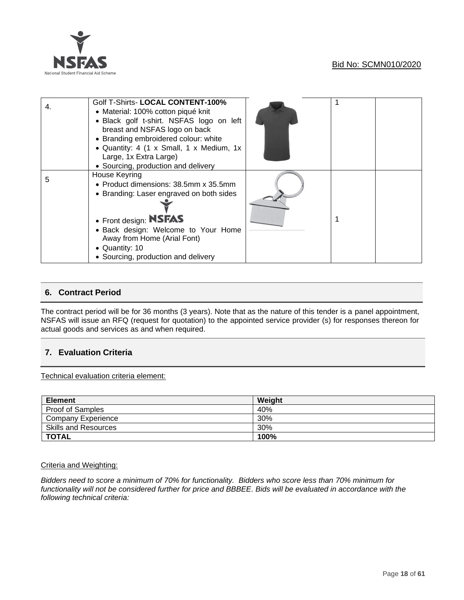

| 4. | Golf T-Shirts- LOCAL CONTENT-100%<br>• Material: 100% cotton piqué knit<br>· Black golf t-shirt. NSFAS logo on left<br>breast and NSFAS logo on back<br>• Branding embroidered colour: white<br>• Quantity: 4 (1 x Small, 1 x Medium, 1x<br>Large, 1x Extra Large)<br>• Sourcing, production and delivery |  |  |
|----|-----------------------------------------------------------------------------------------------------------------------------------------------------------------------------------------------------------------------------------------------------------------------------------------------------------|--|--|
| 5  | House Keyring<br>• Product dimensions: 38.5mm x 35.5mm<br>• Branding: Laser engraved on both sides<br>• Front design: <b>NSFAS</b><br>· Back design: Welcome to Your Home<br>Away from Home (Arial Font)<br>• Quantity: 10<br>• Sourcing, production and delivery                                         |  |  |

## **6. Contract Period**

The contract period will be for 36 months (3 years). Note that as the nature of this tender is a panel appointment, NSFAS will issue an RFQ (request for quotation) to the appointed service provider (s) for responses thereon for actual goods and services as and when required.

## **7. Evaluation Criteria**

Technical evaluation criteria element:

| <b>Element</b>              | Weight |
|-----------------------------|--------|
| <b>Proof of Samples</b>     | 40%    |
| Company Experience          | 30%    |
| <b>Skills and Resources</b> | 30%    |
| <b>TOTAL</b>                | 100%   |

#### Criteria and Weighting:

*Bidders need to score a minimum of 70% for functionality. Bidders who score less than 70% minimum for functionality will not be considered further for price and BBBEE. Bids will be evaluated in accordance with the following technical criteria:*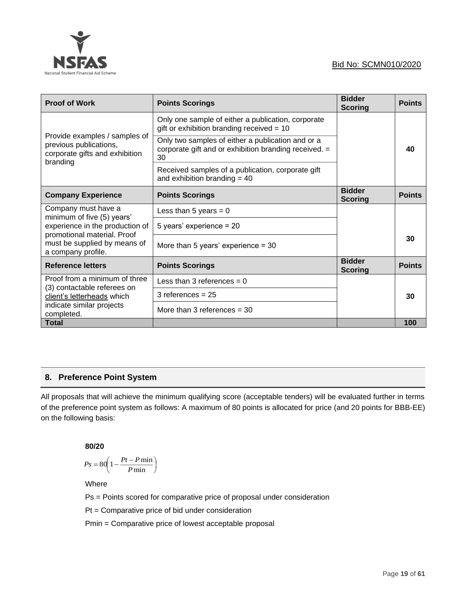

| <b>Proof of Work</b>                                                                                  | <b>Points Scorings</b>                                                                                           | <b>Bidder</b><br><b>Scoring</b> | <b>Points</b> |
|-------------------------------------------------------------------------------------------------------|------------------------------------------------------------------------------------------------------------------|---------------------------------|---------------|
|                                                                                                       | Only one sample of either a publication, corporate<br>gift or exhibition branding received $= 10$                |                                 |               |
| Provide examples / samples of<br>previous publications,<br>corporate gifts and exhibition<br>branding | Only two samples of either a publication and or a<br>corporate gift and or exhibition branding received. =<br>30 |                                 | 40            |
|                                                                                                       | Received samples of a publication, corporate gift<br>and exhibition branding $=$ 40                              |                                 |               |
| <b>Company Experience</b>                                                                             | <b>Points Scorings</b>                                                                                           | <b>Bidder</b><br><b>Scoring</b> | <b>Points</b> |
| Company must have a<br>minimum of five (5) years'                                                     | Less than 5 years = $0$                                                                                          |                                 |               |
| experience in the production of<br>promotional material. Proof                                        | 5 years' experience = 20                                                                                         |                                 |               |
| must be supplied by means of<br>a company profile.                                                    | More than 5 years' experience = $30$                                                                             |                                 | 30            |
| <b>Reference letters</b>                                                                              | <b>Points Scorings</b>                                                                                           | <b>Bidder</b><br><b>Scoring</b> | <b>Points</b> |
| Proof from a minimum of three<br>(3) contactable referees on                                          | Less than 3 references $= 0$                                                                                     |                                 |               |
| client's letterheads which                                                                            | $3$ references = $25$                                                                                            |                                 | 30            |
| indicate similar projects<br>completed.                                                               | More than 3 references $=$ 30                                                                                    |                                 |               |
| <b>Total</b>                                                                                          |                                                                                                                  |                                 | 100           |

## **8. Preference Point System**

All proposals that will achieve the minimum qualifying score (acceptable tenders) will be evaluated further in terms of the preference point system as follows: A maximum of 80 points is allocated for price (and 20 points for BBB-EE) on the following basis:

## **80/20**

$$
Ps = 80 \left( 1 - \frac{Pt - P \min}{P \min} \right)
$$

Where

Ps = Points scored for comparative price of proposal under consideration

Pt = Comparative price of bid under consideration

Pmin = Comparative price of lowest acceptable proposal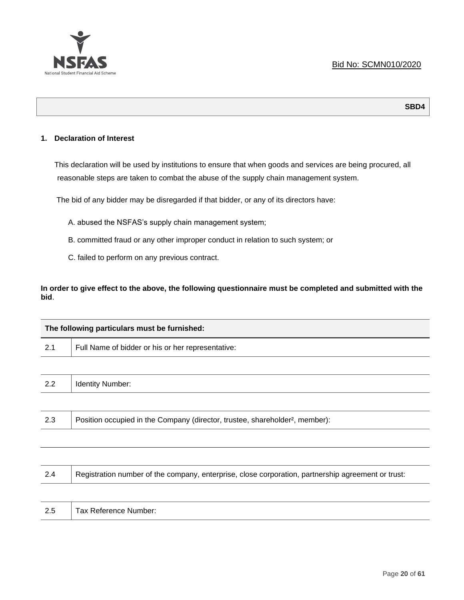

## **1. Declaration of Interest**

This declaration will be used by institutions to ensure that when goods and services are being procured, all reasonable steps are taken to combat the abuse of the supply chain management system.

The bid of any bidder may be disregarded if that bidder, or any of its directors have:

- A. abused the NSFAS's supply chain management system;
- B. committed fraud or any other improper conduct in relation to such system; or
- C. failed to perform on any previous contract.

## **In order to give effect to the above, the following questionnaire must be completed and submitted with the bid**.

| The following particulars must be furnished: |                                                                                          |  |
|----------------------------------------------|------------------------------------------------------------------------------------------|--|
| 2.1                                          | Full Name of bidder or his or her representative:                                        |  |
|                                              |                                                                                          |  |
| 2.2                                          | <b>Identity Number:</b>                                                                  |  |
|                                              |                                                                                          |  |
| 2.3                                          | Position occupied in the Company (director, trustee, shareholder <sup>2</sup> , member): |  |

| -2.4 | Registration number of the company, enterprise, close corporation, partnership agreement or trust: |
|------|----------------------------------------------------------------------------------------------------|
|      |                                                                                                    |
| 2.5  | Tax Reference Number:                                                                              |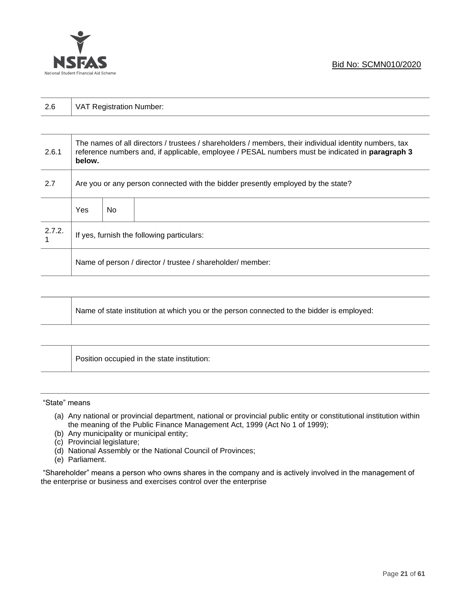

| 2.6    | VAT Registration Number:                                                                                                                                                                                            |     |  |  |
|--------|---------------------------------------------------------------------------------------------------------------------------------------------------------------------------------------------------------------------|-----|--|--|
|        |                                                                                                                                                                                                                     |     |  |  |
| 2.6.1  | The names of all directors / trustees / shareholders / members, their individual identity numbers, tax<br>reference numbers and, if applicable, employee / PESAL numbers must be indicated in paragraph 3<br>below. |     |  |  |
| 2.7    | Are you or any person connected with the bidder presently employed by the state?                                                                                                                                    |     |  |  |
|        | <b>Yes</b>                                                                                                                                                                                                          | No. |  |  |
| 2.7.2. | If yes, furnish the following particulars:                                                                                                                                                                          |     |  |  |
|        | Name of person / director / trustee / shareholder/ member:                                                                                                                                                          |     |  |  |

| Name of state institution at which you or the person connected to the bidder is employed: |
|-------------------------------------------------------------------------------------------|
|                                                                                           |

Position occupied in the state institution:

#### "State" means

- (a) Any national or provincial department, national or provincial public entity or constitutional institution within the meaning of the Public Finance Management Act, 1999 (Act No 1 of 1999);
- (b) Any municipality or municipal entity;
- (c) Provincial legislature;
- (d) National Assembly or the National Council of Provinces;
- (e) Parliament.

"Shareholder" means a person who owns shares in the company and is actively involved in the management of the enterprise or business and exercises control over the enterprise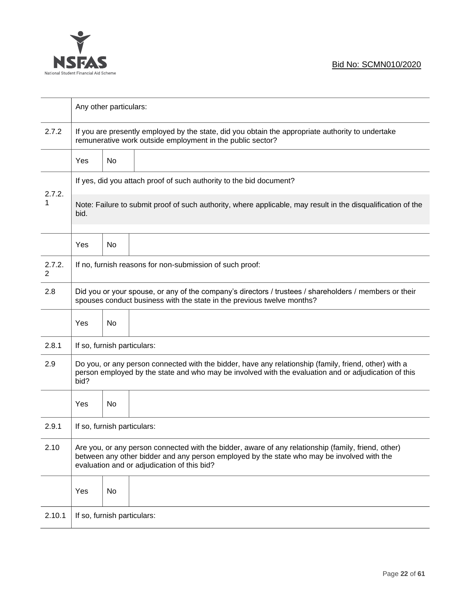

|             | Any other particulars:                                                                                                                                                                                                                           |    |                                                                     |  |  |
|-------------|--------------------------------------------------------------------------------------------------------------------------------------------------------------------------------------------------------------------------------------------------|----|---------------------------------------------------------------------|--|--|
| 2.7.2       | If you are presently employed by the state, did you obtain the appropriate authority to undertake<br>remunerative work outside employment in the public sector?                                                                                  |    |                                                                     |  |  |
|             | Yes                                                                                                                                                                                                                                              | No |                                                                     |  |  |
|             |                                                                                                                                                                                                                                                  |    | If yes, did you attach proof of such authority to the bid document? |  |  |
| 2.7.2.<br>1 | Note: Failure to submit proof of such authority, where applicable, may result in the disqualification of the<br>bid.                                                                                                                             |    |                                                                     |  |  |
|             | Yes                                                                                                                                                                                                                                              | No |                                                                     |  |  |
| 2.7.2.<br>2 |                                                                                                                                                                                                                                                  |    | If no, furnish reasons for non-submission of such proof:            |  |  |
| 2.8         | Did you or your spouse, or any of the company's directors / trustees / shareholders / members or their<br>spouses conduct business with the state in the previous twelve months?                                                                 |    |                                                                     |  |  |
|             | Yes                                                                                                                                                                                                                                              | No |                                                                     |  |  |
| 2.8.1       | If so, furnish particulars:                                                                                                                                                                                                                      |    |                                                                     |  |  |
| 2.9         | Do you, or any person connected with the bidder, have any relationship (family, friend, other) with a<br>person employed by the state and who may be involved with the evaluation and or adjudication of this<br>bid?                            |    |                                                                     |  |  |
|             | Yes                                                                                                                                                                                                                                              | No |                                                                     |  |  |
| 2.9.1       | If so, furnish particulars:                                                                                                                                                                                                                      |    |                                                                     |  |  |
| 2.10        | Are you, or any person connected with the bidder, aware of any relationship (family, friend, other)<br>between any other bidder and any person employed by the state who may be involved with the<br>evaluation and or adjudication of this bid? |    |                                                                     |  |  |
|             | Yes                                                                                                                                                                                                                                              | No |                                                                     |  |  |
| 2.10.1      | If so, furnish particulars:                                                                                                                                                                                                                      |    |                                                                     |  |  |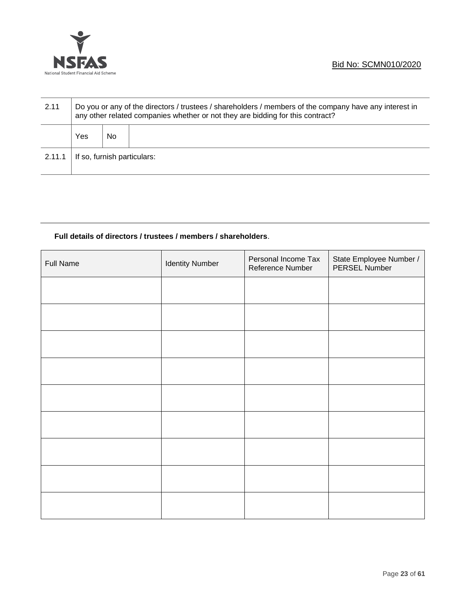

| 2.11   | Do you or any of the directors / trustees / shareholders / members of the company have any interest in<br>any other related companies whether or not they are bidding for this contract? |     |  |
|--------|------------------------------------------------------------------------------------------------------------------------------------------------------------------------------------------|-----|--|
|        | Yes                                                                                                                                                                                      | No. |  |
| 2.11.1 | If so, furnish particulars:                                                                                                                                                              |     |  |

## **Full details of directors / trustees / members / shareholders**.

| <b>Full Name</b> | <b>Identity Number</b> | Personal Income Tax<br>Reference Number | State Employee Number /<br>PERSEL Number |
|------------------|------------------------|-----------------------------------------|------------------------------------------|
|                  |                        |                                         |                                          |
|                  |                        |                                         |                                          |
|                  |                        |                                         |                                          |
|                  |                        |                                         |                                          |
|                  |                        |                                         |                                          |
|                  |                        |                                         |                                          |
|                  |                        |                                         |                                          |
|                  |                        |                                         |                                          |
|                  |                        |                                         |                                          |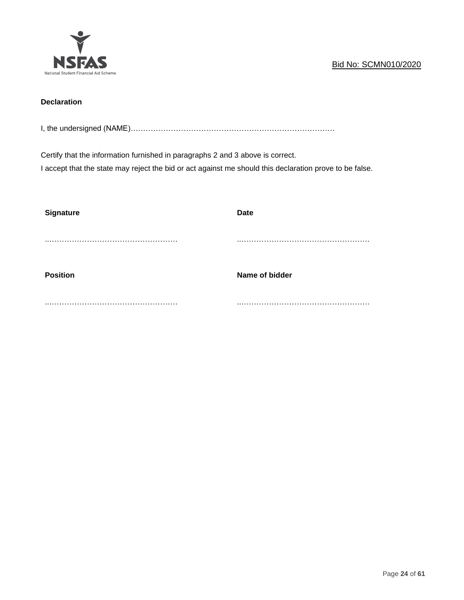

## **Declaration**

I, the undersigned (NAME)………………………………………………………………………

Certify that the information furnished in paragraphs 2 and 3 above is correct.

I accept that the state may reject the bid or act against me should this declaration prove to be false.

| <b>Signature</b> | <b>Date</b>    |
|------------------|----------------|
|                  |                |
|                  |                |
|                  |                |
| <b>Position</b>  | Name of bidder |
|                  |                |
|                  |                |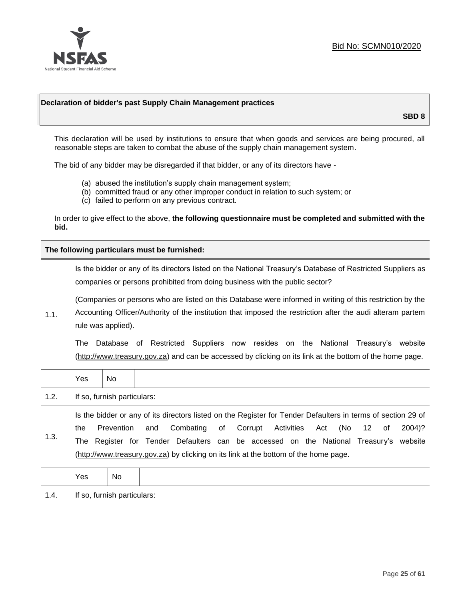

#### **Declaration of bidder's past Supply Chain Management practices**

**SBD 8**

This declaration will be used by institutions to ensure that when goods and services are being procured, all reasonable steps are taken to combat the abuse of the supply chain management system.

The bid of any bidder may be disregarded if that bidder, or any of its directors have -

- (a) abused the institution's supply chain management system;
- (b) committed fraud or any other improper conduct in relation to such system; or
- (c) failed to perform on any previous contract.

In order to give effect to the above, **the following questionnaire must be completed and submitted with the bid.**

**The following particulars must be furnished:**

|      | Is the bidder or any of its directors listed on the National Treasury's Database of Restricted Suppliers as<br>companies or persons prohibited from doing business with the public sector? |                             |                                                                                                                                                                                                                                                                                                                                                                                      |  |  |
|------|--------------------------------------------------------------------------------------------------------------------------------------------------------------------------------------------|-----------------------------|--------------------------------------------------------------------------------------------------------------------------------------------------------------------------------------------------------------------------------------------------------------------------------------------------------------------------------------------------------------------------------------|--|--|
| 1.1. |                                                                                                                                                                                            | rule was applied).          | (Companies or persons who are listed on this Database were informed in writing of this restriction by the<br>Accounting Officer/Authority of the institution that imposed the restriction after the audi alteram partem                                                                                                                                                              |  |  |
|      | The                                                                                                                                                                                        |                             | Database of Restricted Suppliers now resides on the National<br>Treasury's website<br>(http://www.treasury.gov.za) and can be accessed by clicking on its link at the bottom of the home page.                                                                                                                                                                                       |  |  |
|      | Yes                                                                                                                                                                                        | <b>No</b>                   |                                                                                                                                                                                                                                                                                                                                                                                      |  |  |
| 1.2. |                                                                                                                                                                                            | If so, furnish particulars: |                                                                                                                                                                                                                                                                                                                                                                                      |  |  |
| 1.3. | the                                                                                                                                                                                        | Prevention                  | Is the bidder or any of its directors listed on the Register for Tender Defaulters in terms of section 29 of<br>Activities<br>(No<br>Combating<br>of<br>Corrupt<br>12<br>2004)?<br>and<br>Act<br>of<br>The Register for Tender Defaulters can be accessed on the National Treasury's website<br>(http://www.treasury.gov.za) by clicking on its link at the bottom of the home page. |  |  |
|      | Yes                                                                                                                                                                                        | No.                         |                                                                                                                                                                                                                                                                                                                                                                                      |  |  |
| 1.4. |                                                                                                                                                                                            | If so, furnish particulars: |                                                                                                                                                                                                                                                                                                                                                                                      |  |  |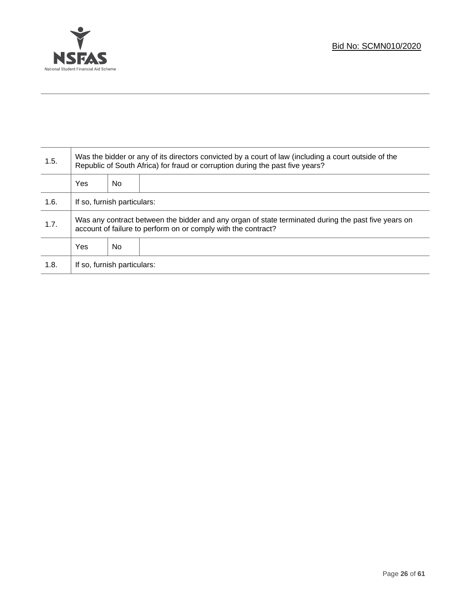

Τ

| 1.5. | Was the bidder or any of its directors convicted by a court of law (including a court outside of the<br>Republic of South Africa) for fraud or corruption during the past five years? |    |  |  |
|------|---------------------------------------------------------------------------------------------------------------------------------------------------------------------------------------|----|--|--|
|      | Yes                                                                                                                                                                                   | No |  |  |
| 1.6. | If so, furnish particulars:                                                                                                                                                           |    |  |  |
| 1.7. | Was any contract between the bidder and any organ of state terminated during the past five years on<br>account of failure to perform on or comply with the contract?                  |    |  |  |
|      | Yes                                                                                                                                                                                   | No |  |  |
| 1.8. | If so, furnish particulars:                                                                                                                                                           |    |  |  |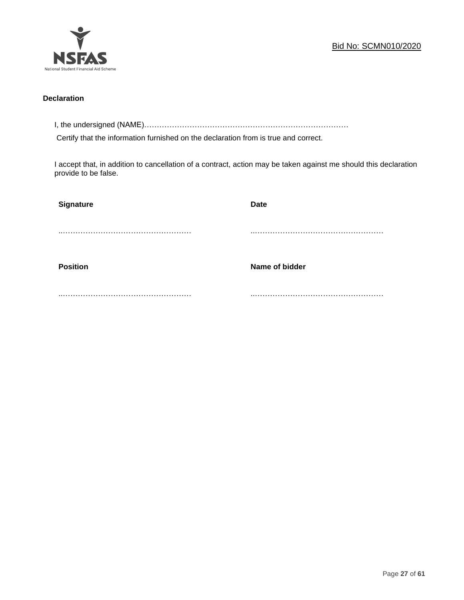

#### **Declaration**

I, the undersigned (NAME)………………………………………………………………………

Certify that the information furnished on the declaration from is true and correct.

I accept that, in addition to cancellation of a contract, action may be taken against me should this declaration provide to be false.

| Signature       | <b>Date</b>    |
|-----------------|----------------|
|                 |                |
|                 |                |
| <b>Position</b> | Name of bidder |
|                 |                |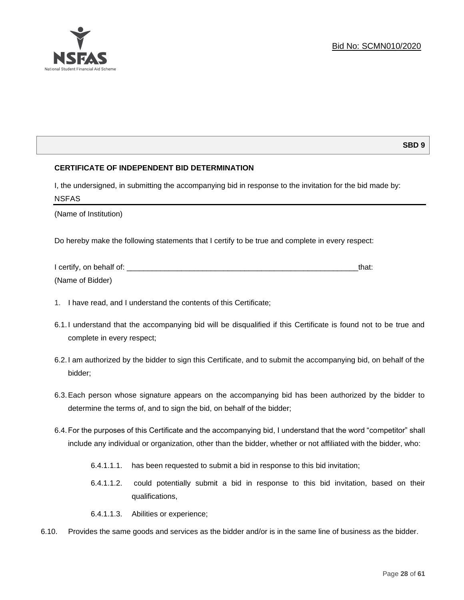

## **SBD 9**

## **CERTIFICATE OF INDEPENDENT BID DETERMINATION**

I, the undersigned, in submitting the accompanying bid in response to the invitation for the bid made by: NSFAS

(Name of Institution)

Do hereby make the following statements that I certify to be true and complete in every respect:

| I certify, on behalf of: |  |
|--------------------------|--|
| (Name of Bidder)         |  |

- 1. I have read, and I understand the contents of this Certificate;
- 6.1.I understand that the accompanying bid will be disqualified if this Certificate is found not to be true and complete in every respect;
- 6.2.I am authorized by the bidder to sign this Certificate, and to submit the accompanying bid, on behalf of the bidder;
- 6.3.Each person whose signature appears on the accompanying bid has been authorized by the bidder to determine the terms of, and to sign the bid, on behalf of the bidder;
- 6.4.For the purposes of this Certificate and the accompanying bid, I understand that the word "competitor" shall include any individual or organization, other than the bidder, whether or not affiliated with the bidder, who:
	- 6.4.1.1.1. has been requested to submit a bid in response to this bid invitation;
	- 6.4.1.1.2. could potentially submit a bid in response to this bid invitation, based on their qualifications,
	- 6.4.1.1.3. Abilities or experience;
- 6.10. Provides the same goods and services as the bidder and/or is in the same line of business as the bidder.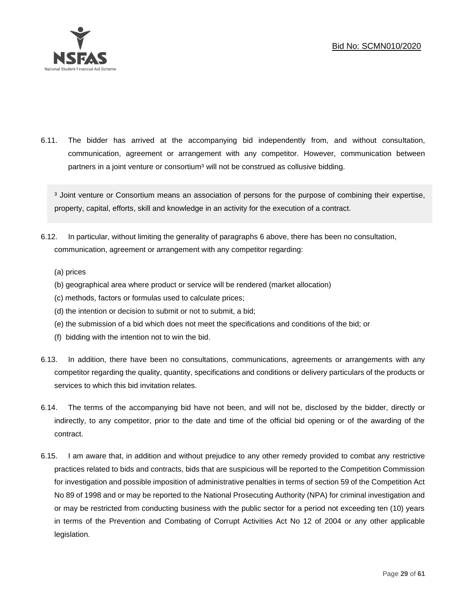

6.11. The bidder has arrived at the accompanying bid independently from, and without consultation, communication, agreement or arrangement with any competitor. However, communication between partners in a joint venture or consortium<sup>3</sup> will not be construed as collusive bidding.

<sup>3</sup> Joint venture or Consortium means an association of persons for the purpose of combining their expertise, property, capital, efforts, skill and knowledge in an activity for the execution of a contract.

- 6.12. In particular, without limiting the generality of paragraphs 6 above, there has been no consultation, communication, agreement or arrangement with any competitor regarding:
	- (a) prices
	- (b) geographical area where product or service will be rendered (market allocation)
	- (c) methods, factors or formulas used to calculate prices;
	- (d) the intention or decision to submit or not to submit, a bid;
	- (e) the submission of a bid which does not meet the specifications and conditions of the bid; or
	- (f) bidding with the intention not to win the bid.
- 6.13. In addition, there have been no consultations, communications, agreements or arrangements with any competitor regarding the quality, quantity, specifications and conditions or delivery particulars of the products or services to which this bid invitation relates.
- 6.14. The terms of the accompanying bid have not been, and will not be, disclosed by the bidder, directly or indirectly, to any competitor, prior to the date and time of the official bid opening or of the awarding of the contract.
- 6.15. I am aware that, in addition and without prejudice to any other remedy provided to combat any restrictive practices related to bids and contracts, bids that are suspicious will be reported to the Competition Commission for investigation and possible imposition of administrative penalties in terms of section 59 of the Competition Act No 89 of 1998 and or may be reported to the National Prosecuting Authority (NPA) for criminal investigation and or may be restricted from conducting business with the public sector for a period not exceeding ten (10) years in terms of the Prevention and Combating of Corrupt Activities Act No 12 of 2004 or any other applicable legislation.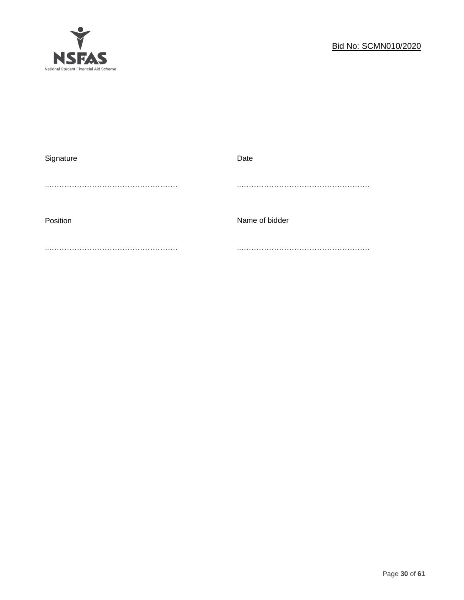

| Signature | Date           |
|-----------|----------------|
|           |                |
|           |                |
|           |                |
| Position  | Name of bidder |
|           |                |
|           |                |
|           |                |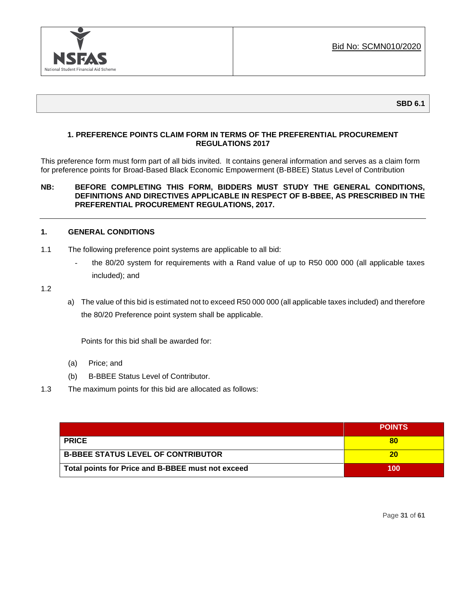

**SBD 6.1**

## **1. PREFERENCE POINTS CLAIM FORM IN TERMS OF THE PREFERENTIAL PROCUREMENT REGULATIONS 2017**

This preference form must form part of all bids invited. It contains general information and serves as a claim form for preference points for Broad-Based Black Economic Empowerment (B-BBEE) Status Level of Contribution

#### **NB: BEFORE COMPLETING THIS FORM, BIDDERS MUST STUDY THE GENERAL CONDITIONS, DEFINITIONS AND DIRECTIVES APPLICABLE IN RESPECT OF B-BBEE, AS PRESCRIBED IN THE PREFERENTIAL PROCUREMENT REGULATIONS, 2017.**

#### **1. GENERAL CONDITIONS**

- 1.1 The following preference point systems are applicable to all bid:
	- the 80/20 system for requirements with a Rand value of up to R50 000 000 (all applicable taxes included); and
- 1.2
- a) The value of this bid is estimated not to exceed R50 000 000 (all applicable taxes included) and therefore the 80/20 Preference point system shall be applicable.

Points for this bid shall be awarded for:

- (a) Price; and
- (b) B-BBEE Status Level of Contributor.
- 1.3 The maximum points for this bid are allocated as follows:

|                                                   | <b>POINTS</b> |
|---------------------------------------------------|---------------|
| <b>PRICE</b>                                      |               |
| <b>B-BBEE STATUS LEVEL OF CONTRIBUTOR</b>         | 20            |
| Total points for Price and B-BBEE must not exceed | 100           |

Page **31** of **61**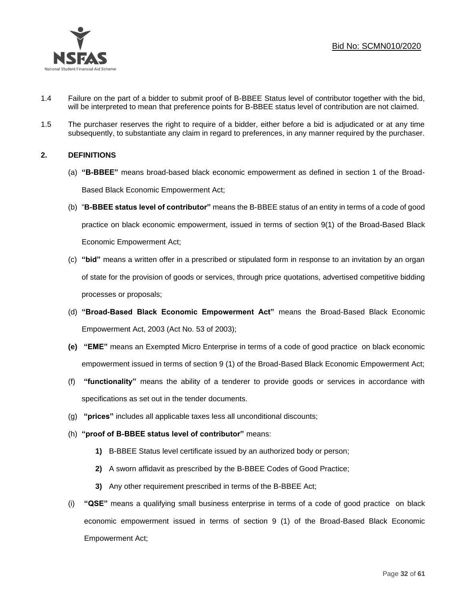

- 1.4 Failure on the part of a bidder to submit proof of B-BBEE Status level of contributor together with the bid, will be interpreted to mean that preference points for B-BBEE status level of contribution are not claimed.
- 1.5 The purchaser reserves the right to require of a bidder, either before a bid is adjudicated or at any time subsequently, to substantiate any claim in regard to preferences, in any manner required by the purchaser.

## **2. DEFINITIONS**

- (a) **"B-BBEE"** means broad-based black economic empowerment as defined in section 1 of the Broad-Based Black Economic Empowerment Act;
- (b) "**B-BBEE status level of contributor"** means the B-BBEE status of an entity in terms of a code of good practice on black economic empowerment, issued in terms of section 9(1) of the Broad-Based Black Economic Empowerment Act;
- (c) **"bid"** means a written offer in a prescribed or stipulated form in response to an invitation by an organ of state for the provision of goods or services, through price quotations, advertised competitive bidding processes or proposals;
- (d) **"Broad-Based Black Economic Empowerment Act"** means the Broad-Based Black Economic Empowerment Act, 2003 (Act No. 53 of 2003);
- **(e) "EME"** means an Exempted Micro Enterprise in terms of a code of good practice on black economic empowerment issued in terms of section 9 (1) of the Broad-Based Black Economic Empowerment Act;
- (f) **"functionality"** means the ability of a tenderer to provide goods or services in accordance with specifications as set out in the tender documents.
- (g) **"prices"** includes all applicable taxes less all unconditional discounts;
- (h) **"proof of B-BBEE status level of contributor"** means:
	- **1)** B-BBEE Status level certificate issued by an authorized body or person;
	- **2)** A sworn affidavit as prescribed by the B-BBEE Codes of Good Practice;
	- **3)** Any other requirement prescribed in terms of the B-BBEE Act;
- (i) **"QSE"** means a qualifying small business enterprise in terms of a code of good practice on black economic empowerment issued in terms of section 9 (1) of the Broad-Based Black Economic Empowerment Act;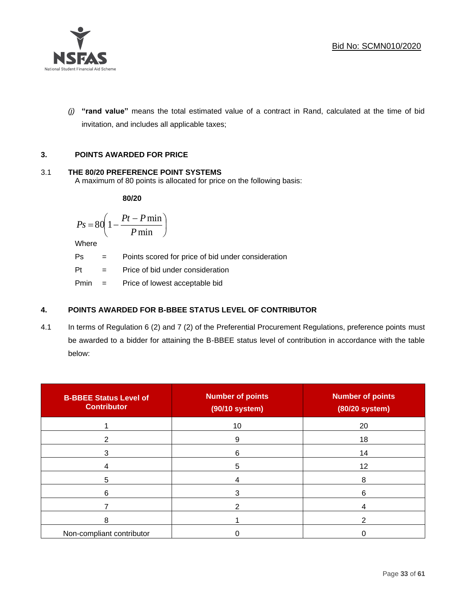

*(j)* **"rand value"** means the total estimated value of a contract in Rand, calculated at the time of bid invitation, and includes all applicable taxes;

## **3. POINTS AWARDED FOR PRICE**

## 3.1 **THE 80/20 PREFERENCE POINT SYSTEMS**

A maximum of 80 points is allocated for price on the following basis:

**80/20**

$$
Ps = 80 \left( 1 - \frac{Pt - P \min}{P \min} \right)
$$

Where

Ps = Points scored for price of bid under consideration

 $Pt =$  Price of bid under consideration

Pmin = Price of lowest acceptable bid

## **4. POINTS AWARDED FOR B-BBEE STATUS LEVEL OF CONTRIBUTOR**

4.1 In terms of Regulation 6 (2) and 7 (2) of the Preferential Procurement Regulations, preference points must be awarded to a bidder for attaining the B-BBEE status level of contribution in accordance with the table below:

| <b>B-BBEE Status Level of</b><br><b>Contributor</b> | <b>Number of points</b><br>(90/10 system) | <b>Number of points</b><br>(80/20 system) |
|-----------------------------------------------------|-------------------------------------------|-------------------------------------------|
|                                                     | 10                                        | 20                                        |
|                                                     | 9                                         | 18                                        |
| 3                                                   | 6                                         | 14                                        |
|                                                     | 5                                         | 12                                        |
| 5                                                   | 4                                         | 8                                         |
| 6                                                   |                                           | 6                                         |
|                                                     |                                           |                                           |
| 8                                                   |                                           |                                           |
| Non-compliant contributor                           |                                           |                                           |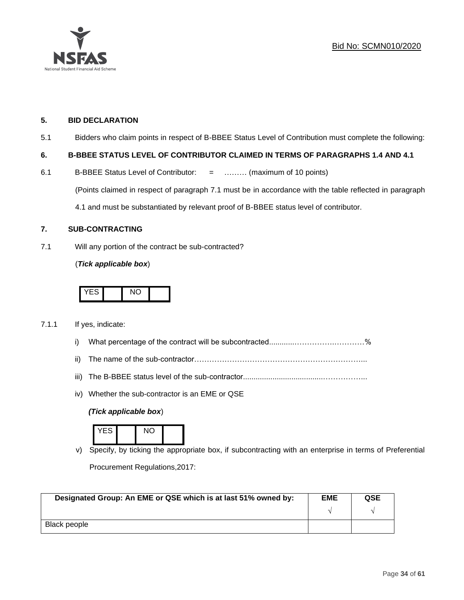



#### **5. BID DECLARATION**

5.1 Bidders who claim points in respect of B-BBEE Status Level of Contribution must complete the following:

#### **6. B-BBEE STATUS LEVEL OF CONTRIBUTOR CLAIMED IN TERMS OF PARAGRAPHS 1.4 AND 4.1**

6.1 B-BBEE Status Level of Contributor: = ……… (maximum of 10 points) (Points claimed in respect of paragraph 7.1 must be in accordance with the table reflected in paragraph 4.1 and must be substantiated by relevant proof of B-BBEE status level of contributor.

#### **7. SUB-CONTRACTING**

7.1 Will any portion of the contract be sub-contracted?

#### (*Tick applicable box*)



#### 7.1.1 If yes, indicate:

- i) What percentage of the contract will be subcontracted............…………….…………%
- ii) The name of the sub-contractor…………………………………………………………...
- iii) The B-BBEE status level of the sub-contractor......................................……………...
- iv) Whether the sub-contractor is an EME or QSE

#### *(Tick applicable box*)



v) Specify, by ticking the appropriate box, if subcontracting with an enterprise in terms of Preferential Procurement Regulations,2017:

| Designated Group: An EME or QSE which is at last 51% owned by: | <b>EME</b> | <b>QSE</b> |  |
|----------------------------------------------------------------|------------|------------|--|
|                                                                |            |            |  |
| Black people                                                   |            |            |  |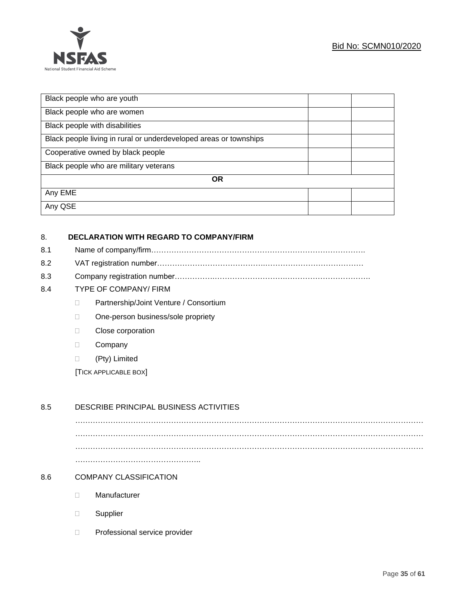

| Black people who are youth                                        |  |  |
|-------------------------------------------------------------------|--|--|
| Black people who are women                                        |  |  |
| Black people with disabilities                                    |  |  |
| Black people living in rural or underdeveloped areas or townships |  |  |
| Cooperative owned by black people                                 |  |  |
| Black people who are military veterans                            |  |  |
| <b>OR</b>                                                         |  |  |
| Any EME                                                           |  |  |
| Any QSE                                                           |  |  |

## 8. **DECLARATION WITH REGARD TO COMPANY/FIRM**

- 8.1 Name of company/firm………………………………………………………………………….
- 8.2 VAT registration number…………………………………….…………………………………
- 8.3 Company registration number…………….……………………….…………………………….
- 8.4 TYPE OF COMPANY/ FIRM
	- □ Partnership/Joint Venture / Consortium
	- □ One-person business/sole propriety
	- **Close corporation**
	- D Company
	- (Pty) Limited

[TICK APPLICABLE BOX]

## 8.5 DESCRIBE PRINCIPAL BUSINESS ACTIVITIES

………………………………………………………………………………………………………………………… ………………………………………………………………………………………………………………………… ………………………………………………………………………………………………………………………… …………………………………………..

#### 8.6 COMPANY CLASSIFICATION

- Manufacturer
- Supplier
- D Professional service provider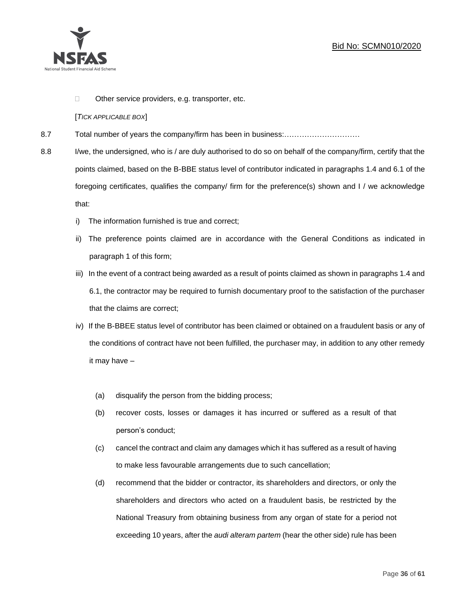

 $\Box$  Other service providers, e.g. transporter, etc.

#### [*TICK APPLICABLE BOX*]

- 8.7 Total number of years the company/firm has been in business:…………………………
- 8.8 I/we, the undersigned, who is / are duly authorised to do so on behalf of the company/firm, certify that the points claimed, based on the B-BBE status level of contributor indicated in paragraphs 1.4 and 6.1 of the foregoing certificates, qualifies the company/ firm for the preference(s) shown and I / we acknowledge that:
	- i) The information furnished is true and correct;
	- ii) The preference points claimed are in accordance with the General Conditions as indicated in paragraph 1 of this form;
	- iii) In the event of a contract being awarded as a result of points claimed as shown in paragraphs 1.4 and 6.1, the contractor may be required to furnish documentary proof to the satisfaction of the purchaser that the claims are correct;
	- iv) If the B-BBEE status level of contributor has been claimed or obtained on a fraudulent basis or any of the conditions of contract have not been fulfilled, the purchaser may, in addition to any other remedy it may have –
		- (a) disqualify the person from the bidding process;
		- (b) recover costs, losses or damages it has incurred or suffered as a result of that person's conduct;
		- (c) cancel the contract and claim any damages which it has suffered as a result of having to make less favourable arrangements due to such cancellation;
		- (d) recommend that the bidder or contractor, its shareholders and directors, or only the shareholders and directors who acted on a fraudulent basis, be restricted by the National Treasury from obtaining business from any organ of state for a period not exceeding 10 years, after the *audi alteram partem* (hear the other side) rule has been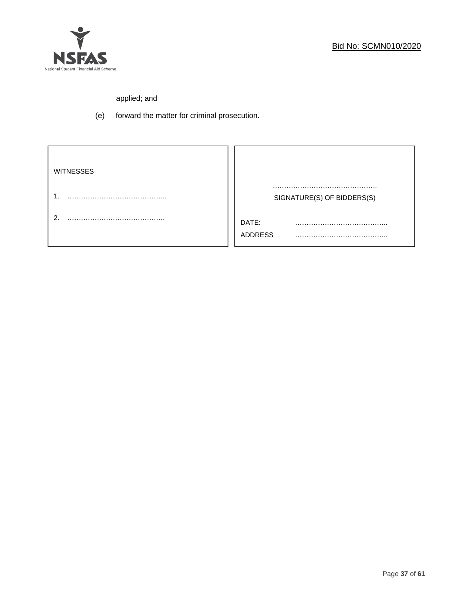

# applied; and

(e) forward the matter for criminal prosecution.

| <b>WITNESSES</b> |                            |
|------------------|----------------------------|
|                  | SIGNATURE(S) OF BIDDERS(S) |
|                  |                            |
| ◠                | DATE:<br>.                 |
|                  | <b>ADDRESS</b>             |
|                  |                            |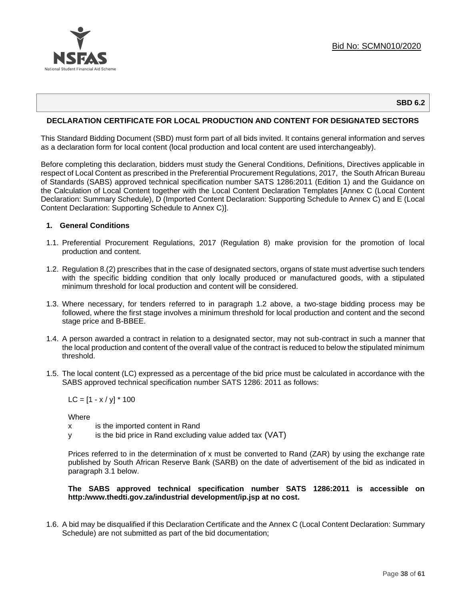

#### **SBD 6.2**

#### **DECLARATION CERTIFICATE FOR LOCAL PRODUCTION AND CONTENT FOR DESIGNATED SECTORS**

This Standard Bidding Document (SBD) must form part of all bids invited. It contains general information and serves as a declaration form for local content (local production and local content are used interchangeably).

Before completing this declaration, bidders must study the General Conditions, Definitions, Directives applicable in respect of Local Content as prescribed in the Preferential Procurement Regulations, 2017, the South African Bureau of Standards (SABS) approved technical specification number SATS 1286:2011 (Edition 1) and the Guidance on the Calculation of Local Content together with the Local Content Declaration Templates [Annex C (Local Content Declaration: Summary Schedule), D (Imported Content Declaration: Supporting Schedule to Annex C) and E (Local Content Declaration: Supporting Schedule to Annex C)].

#### **1. General Conditions**

- 1.1. Preferential Procurement Regulations, 2017 (Regulation 8) make provision for the promotion of local production and content.
- 1.2. Regulation 8.(2) prescribes that in the case of designated sectors, organs of state must advertise such tenders with the specific bidding condition that only locally produced or manufactured goods, with a stipulated minimum threshold for local production and content will be considered.
- 1.3. Where necessary, for tenders referred to in paragraph 1.2 above, a two-stage bidding process may be followed, where the first stage involves a minimum threshold for local production and content and the second stage price and B-BBEE.
- 1.4. A person awarded a contract in relation to a designated sector, may not sub-contract in such a manner that the local production and content of the overall value of the contract is reduced to below the stipulated minimum threshold.
- 1.5. The local content (LC) expressed as a percentage of the bid price must be calculated in accordance with the SABS approved technical specification number SATS 1286: 2011 as follows:

 $LC = [1 - x / y] * 100$ 

**Where** 

- x is the imported content in Rand
- y is the bid price in Rand excluding value added tax (VAT)

Prices referred to in the determination of x must be converted to Rand (ZAR) by using the exchange rate published by South African Reserve Bank (SARB) on the date of advertisement of the bid as indicated in paragraph 3.1 below.

#### **The SABS approved technical specification number SATS 1286:2011 is accessible on http:/www.thedti.gov.za/industrial development/ip.jsp at no cost.**

1.6. A bid may be disqualified if this Declaration Certificate and the Annex C (Local Content Declaration: Summary Schedule) are not submitted as part of the bid documentation;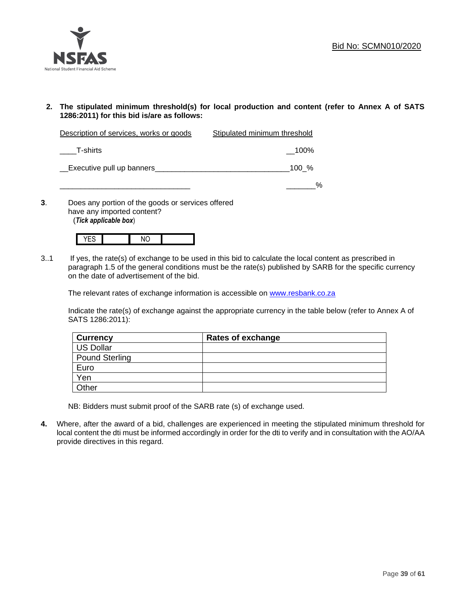

**2. The stipulated minimum threshold(s) for local production and content (refer to Annex A of SATS 1286:2011) for this bid is/are as follows:**

| Description of services, works or goods | Stipulated minimum threshold |
|-----------------------------------------|------------------------------|
| T-shirts                                | $\_100\%$                    |
| Executive pull up banners               | $100\frac{9}{6}$             |
|                                         | $\frac{0}{0}$                |

**3**. Does any portion of the goods or services offered have any imported content? (*Tick applicable box*)



3..1 If yes, the rate(s) of exchange to be used in this bid to calculate the local content as prescribed in paragraph 1.5 of the general conditions must be the rate(s) published by SARB for the specific currency on the date of advertisement of the bid.

The relevant rates of exchange information is accessible on [www.resbank.co.za](http://www.resbank.co.za/)

Indicate the rate(s) of exchange against the appropriate currency in the table below (refer to Annex A of SATS 1286:2011):

| <b>Currency</b> | <b>Rates of exchange</b> |
|-----------------|--------------------------|
| US Dollar       |                          |
| Pound Sterling  |                          |
| Euro            |                          |
| Yen             |                          |
| Other           |                          |

NB: Bidders must submit proof of the SARB rate (s) of exchange used.

**4.** Where, after the award of a bid, challenges are experienced in meeting the stipulated minimum threshold for local content the dti must be informed accordingly in order for the dti to verify and in consultation with the AO/AA provide directives in this regard.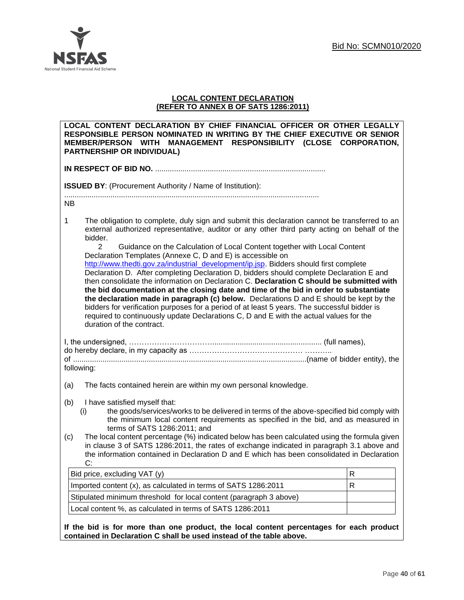

## **LOCAL CONTENT DECLARATION (REFER TO ANNEX B OF SATS 1286:2011)**

| LOCAL CONTENT DECLARATION BY CHIEF FINANCIAL OFFICER OR OTHER LEGALLY<br>RESPONSIBLE PERSON NOMINATED IN WRITING BY THE CHIEF EXECUTIVE OR SENIOR<br>MEMBER/PERSON WITH MANAGEMENT RESPONSIBILITY (CLOSE CORPORATION,<br><b>PARTNERSHIP OR INDIVIDUAL)</b>                                                                                                                                                                                                                                                                                                                                                                                                                                                                                                                                                                                                                                                                                                                                                                                                                         |   |  |
|------------------------------------------------------------------------------------------------------------------------------------------------------------------------------------------------------------------------------------------------------------------------------------------------------------------------------------------------------------------------------------------------------------------------------------------------------------------------------------------------------------------------------------------------------------------------------------------------------------------------------------------------------------------------------------------------------------------------------------------------------------------------------------------------------------------------------------------------------------------------------------------------------------------------------------------------------------------------------------------------------------------------------------------------------------------------------------|---|--|
|                                                                                                                                                                                                                                                                                                                                                                                                                                                                                                                                                                                                                                                                                                                                                                                                                                                                                                                                                                                                                                                                                    |   |  |
| <b>ISSUED BY:</b> (Procurement Authority / Name of Institution):                                                                                                                                                                                                                                                                                                                                                                                                                                                                                                                                                                                                                                                                                                                                                                                                                                                                                                                                                                                                                   |   |  |
| NB.                                                                                                                                                                                                                                                                                                                                                                                                                                                                                                                                                                                                                                                                                                                                                                                                                                                                                                                                                                                                                                                                                |   |  |
| $\mathbf{1}$<br>The obligation to complete, duly sign and submit this declaration cannot be transferred to an<br>external authorized representative, auditor or any other third party acting on behalf of the<br>bidder.<br>$\overline{2}$<br>Guidance on the Calculation of Local Content together with Local Content<br>Declaration Templates (Annexe C, D and E) is accessible on<br>http://www.thedti.gov.za/industrial_development/ip.jsp. Bidders should first complete<br>Declaration D. After completing Declaration D, bidders should complete Declaration E and<br>then consolidate the information on Declaration C. Declaration C should be submitted with<br>the bid documentation at the closing date and time of the bid in order to substantiate<br>the declaration made in paragraph (c) below. Declarations D and E should be kept by the<br>bidders for verification purposes for a period of at least 5 years. The successful bidder is<br>required to continuously update Declarations C, D and E with the actual values for the<br>duration of the contract. |   |  |
| following:                                                                                                                                                                                                                                                                                                                                                                                                                                                                                                                                                                                                                                                                                                                                                                                                                                                                                                                                                                                                                                                                         |   |  |
| The facts contained herein are within my own personal knowledge.<br>(a)                                                                                                                                                                                                                                                                                                                                                                                                                                                                                                                                                                                                                                                                                                                                                                                                                                                                                                                                                                                                            |   |  |
| (b)<br>I have satisfied myself that:<br>the goods/services/works to be delivered in terms of the above-specified bid comply with<br>(i)<br>the minimum local content requirements as specified in the bid, and as measured in<br>terms of SATS 1286:2011; and<br>The local content percentage (%) indicated below has been calculated using the formula given<br>(c)<br>in clause 3 of SATS 1286:2011, the rates of exchange indicated in paragraph 3.1 above and<br>the information contained in Declaration D and E which has been consolidated in Declaration<br>C:                                                                                                                                                                                                                                                                                                                                                                                                                                                                                                             |   |  |
| Bid price, excluding VAT (y)                                                                                                                                                                                                                                                                                                                                                                                                                                                                                                                                                                                                                                                                                                                                                                                                                                                                                                                                                                                                                                                       | R |  |
| Imported content (x), as calculated in terms of SATS 1286:2011                                                                                                                                                                                                                                                                                                                                                                                                                                                                                                                                                                                                                                                                                                                                                                                                                                                                                                                                                                                                                     | R |  |
| Stipulated minimum threshold for local content (paragraph 3 above)                                                                                                                                                                                                                                                                                                                                                                                                                                                                                                                                                                                                                                                                                                                                                                                                                                                                                                                                                                                                                 |   |  |
| Local content %, as calculated in terms of SATS 1286:2011                                                                                                                                                                                                                                                                                                                                                                                                                                                                                                                                                                                                                                                                                                                                                                                                                                                                                                                                                                                                                          |   |  |
| If the bid is for more than one product, the local content percentages for each product<br>contained in Declaration C shall be used instead of the table above.                                                                                                                                                                                                                                                                                                                                                                                                                                                                                                                                                                                                                                                                                                                                                                                                                                                                                                                    |   |  |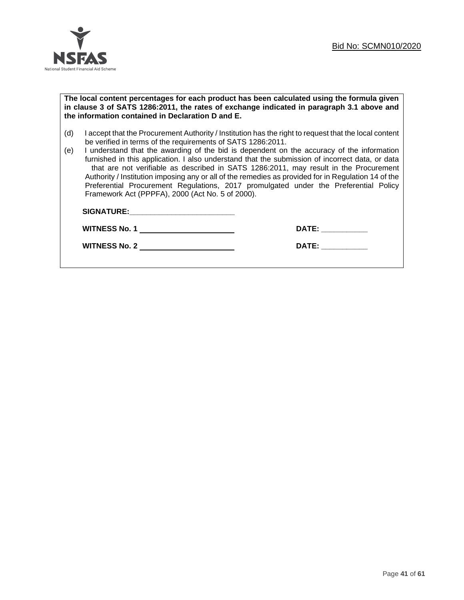

#### **The local content percentages for each product has been calculated using the formula given in clause 3 of SATS 1286:2011, the rates of exchange indicated in paragraph 3.1 above and the information contained in Declaration D and E.**

- (d) I accept that the Procurement Authority / Institution has the right to request that the local content be verified in terms of the requirements of SATS 1286:2011.
- (e) I understand that the awarding of the bid is dependent on the accuracy of the information furnished in this application. I also understand that the submission of incorrect data, or data that are not verifiable as described in SATS 1286:2011, may result in the Procurement Authority / Institution imposing any or all of the remedies as provided for in Regulation 14 of the Preferential Procurement Regulations, 2017 promulgated under the Preferential Policy Framework Act (PPPFA), 2000 (Act No. 5 of 2000).

| <b>SIGNATURE:</b>    |              |
|----------------------|--------------|
| <b>WITNESS No. 1</b> | <b>DATE:</b> |
| <b>WITNESS No. 2</b> | <b>DATE:</b> |
|                      |              |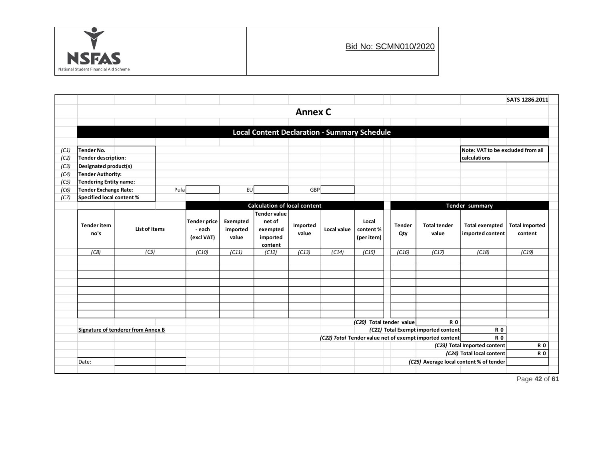

|      |                                             |                           |        |                     |                                     |                                                     |             |          |                                                                                                             |                     |                       |                                           | SATS 1286.2011 |  |
|------|---------------------------------------------|---------------------------|--------|---------------------|-------------------------------------|-----------------------------------------------------|-------------|----------|-------------------------------------------------------------------------------------------------------------|---------------------|-----------------------|-------------------------------------------|----------------|--|
|      | <b>Annex C</b>                              |                           |        |                     |                                     |                                                     |             |          |                                                                                                             |                     |                       |                                           |                |  |
|      |                                             |                           |        |                     |                                     |                                                     |             |          |                                                                                                             |                     |                       |                                           |                |  |
|      |                                             |                           |        |                     |                                     | <b>Local Content Declaration - Summary Schedule</b> |             |          |                                                                                                             |                     |                       |                                           |                |  |
|      |                                             |                           |        |                     |                                     |                                                     |             |          |                                                                                                             |                     |                       |                                           |                |  |
| (C1) | Tender No.                                  |                           |        |                     |                                     |                                                     |             |          |                                                                                                             |                     |                       | Note: VAT to be excluded from all         |                |  |
| (C2) | Tender description:                         |                           |        |                     |                                     |                                                     |             |          | calculations                                                                                                |                     |                       |                                           |                |  |
| (C3) | Designated product(s)                       |                           |        |                     |                                     |                                                     |             |          |                                                                                                             |                     |                       |                                           |                |  |
| (C4) | Tender Authority:                           |                           |        |                     |                                     |                                                     |             |          |                                                                                                             |                     |                       |                                           |                |  |
| (C5) | Tendering Entity name:                      |                           |        |                     |                                     |                                                     |             |          |                                                                                                             |                     |                       |                                           |                |  |
| (C6) | Tender Exchange Rate:                       |                           | Pula   |                     | EU                                  |                                                     | GBP         |          |                                                                                                             |                     |                       |                                           |                |  |
| (C7) |                                             | Specified local content % |        |                     |                                     |                                                     |             |          |                                                                                                             |                     |                       |                                           |                |  |
|      |                                             |                           |        |                     | <b>Calculation of local content</b> |                                                     |             |          |                                                                                                             |                     |                       | Tender summary                            |                |  |
|      |                                             |                           |        | <b>Tender price</b> | Exempted                            | <b>Tender value</b><br>net of                       |             |          | Local                                                                                                       |                     |                       |                                           |                |  |
|      | <b>Tender item</b><br>List of items<br>no's |                           | - each | imported            | exempted                            | Imported                                            | Local value | content% | <b>Tender</b>                                                                                               | <b>Total tender</b> | <b>Total exempted</b> | <b>Total Imported</b>                     |                |  |
|      |                                             |                           |        | (excl VAT)<br>value |                                     | imported                                            | value       |          | (per item)                                                                                                  | Qty                 | value                 | imported content                          | content        |  |
|      |                                             |                           |        |                     |                                     | content                                             |             |          |                                                                                                             |                     |                       |                                           |                |  |
|      | (C8)                                        | (C9)                      |        | (C10)               | (C11)                               | (C12)                                               | (C13)       | (C14)    | (C15)                                                                                                       | (C16)               | (C17)                 | (C18)                                     | (C19)          |  |
|      |                                             |                           |        |                     |                                     |                                                     |             |          |                                                                                                             |                     |                       |                                           |                |  |
|      |                                             |                           |        |                     |                                     |                                                     |             |          |                                                                                                             |                     |                       |                                           |                |  |
|      |                                             |                           |        |                     |                                     |                                                     |             |          |                                                                                                             |                     |                       |                                           |                |  |
|      |                                             |                           |        |                     |                                     |                                                     |             |          |                                                                                                             |                     |                       |                                           |                |  |
|      |                                             |                           |        |                     |                                     |                                                     |             |          |                                                                                                             |                     |                       |                                           |                |  |
|      |                                             |                           |        |                     |                                     |                                                     |             |          |                                                                                                             |                     |                       |                                           |                |  |
|      |                                             |                           |        |                     |                                     |                                                     |             |          |                                                                                                             |                     |                       |                                           |                |  |
|      |                                             |                           |        |                     |                                     |                                                     |             |          | (C20) Total tender value                                                                                    |                     | <b>R0</b>             |                                           |                |  |
|      | Signature of tenderer from Annex B          |                           |        |                     |                                     |                                                     |             |          | (C21) Total Exempt imported content<br><b>R0</b><br>(C22) Total Tender value net of exempt imported content |                     |                       |                                           |                |  |
|      |                                             |                           |        |                     |                                     |                                                     |             |          |                                                                                                             |                     |                       | <b>R0</b><br>(C23) Total Imported content | <b>R0</b>      |  |
|      |                                             |                           |        |                     |                                     |                                                     |             |          |                                                                                                             |                     |                       | (C24) Total local content                 | <b>R0</b>      |  |
|      | Date:                                       |                           |        |                     |                                     |                                                     |             |          |                                                                                                             |                     |                       | (C25) Average local content % of tender   |                |  |
|      |                                             |                           |        |                     |                                     |                                                     |             |          |                                                                                                             |                     |                       |                                           |                |  |

Page **42** of **61**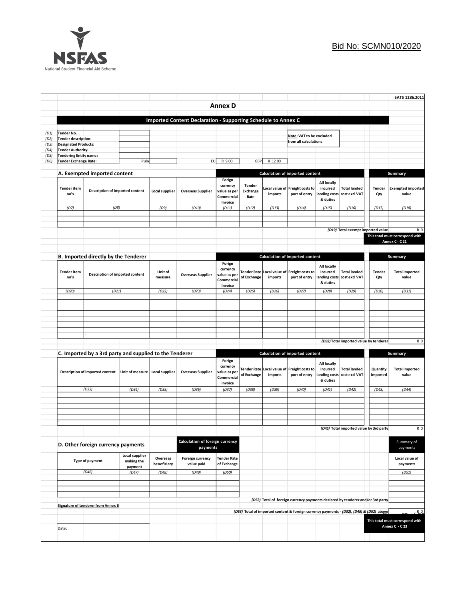

|              |                                                                                                  |                                           |                                |                                             |                                                               |                                                             |                                   |                                                                                |                                                                                          |                                                     |                                                   |                        | SATS 1286.2011                                    |
|--------------|--------------------------------------------------------------------------------------------------|-------------------------------------------|--------------------------------|---------------------------------------------|---------------------------------------------------------------|-------------------------------------------------------------|-----------------------------------|--------------------------------------------------------------------------------|------------------------------------------------------------------------------------------|-----------------------------------------------------|---------------------------------------------------|------------------------|---------------------------------------------------|
|              |                                                                                                  |                                           |                                |                                             |                                                               | <b>Annex D</b>                                              |                                   |                                                                                |                                                                                          |                                                     |                                                   |                        |                                                   |
|              |                                                                                                  |                                           |                                |                                             | Imported Content Declaration - Supporting Schedule to Annex C |                                                             |                                   |                                                                                |                                                                                          |                                                     |                                                   |                        |                                                   |
|              |                                                                                                  |                                           |                                |                                             |                                                               |                                                             |                                   |                                                                                |                                                                                          |                                                     |                                                   |                        |                                                   |
| (D1)         | Tender No.                                                                                       |                                           |                                |                                             |                                                               |                                                             |                                   |                                                                                | Note: VAT to be excluded                                                                 |                                                     |                                                   |                        |                                                   |
| (D2)<br>(D3) | <b>Tender description:</b><br><b>Designated Products:</b>                                        |                                           |                                |                                             |                                                               |                                                             |                                   |                                                                                | from all calculations                                                                    |                                                     |                                                   |                        |                                                   |
| (D4)         | <b>Tender Authority:</b>                                                                         |                                           |                                |                                             |                                                               |                                                             |                                   |                                                                                |                                                                                          |                                                     |                                                   |                        |                                                   |
| (D5)         | <b>Tendering Entity name:</b>                                                                    |                                           | Pula                           |                                             | EU                                                            | R 9.00                                                      | GBP                               | R 12.00                                                                        |                                                                                          |                                                     |                                                   |                        |                                                   |
| (D6)         | Tender Exchange Rate:                                                                            |                                           |                                |                                             |                                                               |                                                             |                                   |                                                                                |                                                                                          |                                                     |                                                   |                        |                                                   |
|              | A. Exempted imported content                                                                     |                                           |                                |                                             |                                                               |                                                             |                                   |                                                                                | Calculation of imported content                                                          |                                                     |                                                   |                        | Summary                                           |
|              | <b>Tender item</b><br>Description of imported content<br>no's                                    |                                           |                                | Local supplier                              | <b>Overseas Supplier</b>                                      | Forign<br>currency<br>value as per<br>Commercial<br>Invoice | <b>Tender</b><br>Exchange<br>Rate | imports                                                                        | Local value of Freight costs to<br>port of entry                                         | All locally<br>incurred<br>& duties                 | <b>Total landed</b><br>anding costs cost excl VAT | Tender<br>Qty          | <b>Exempted imported</b><br>value                 |
|              | (D7)                                                                                             | (D8)                                      |                                | (D9)                                        | (D10)                                                         | (D11)                                                       | (D12)                             | (D13)                                                                          | (D14)                                                                                    | (D15)                                               | (D16)                                             | (D17)                  | (D18)                                             |
|              |                                                                                                  |                                           |                                |                                             |                                                               |                                                             |                                   |                                                                                |                                                                                          |                                                     |                                                   |                        |                                                   |
|              |                                                                                                  |                                           |                                |                                             |                                                               |                                                             |                                   |                                                                                |                                                                                          |                                                     |                                                   |                        |                                                   |
|              |                                                                                                  |                                           |                                |                                             |                                                               |                                                             |                                   |                                                                                |                                                                                          |                                                     | (D19) Total exempt imported value                 |                        | R <sub>0</sub><br>This total must correspond with |
|              |                                                                                                  |                                           |                                |                                             |                                                               |                                                             |                                   |                                                                                |                                                                                          |                                                     |                                                   |                        | Annex C - C 21                                    |
|              |                                                                                                  |                                           |                                |                                             |                                                               |                                                             |                                   |                                                                                |                                                                                          |                                                     |                                                   |                        |                                                   |
|              |                                                                                                  | B. Imported directly by the Tenderer      |                                |                                             |                                                               |                                                             |                                   |                                                                                | Calculation of imported content                                                          |                                                     |                                                   |                        | <b>Summary</b>                                    |
|              | <b>Tender item</b><br>no's                                                                       | Description of imported content           |                                | Unit of<br>measure                          | <b>Overseas Supplier</b>                                      | Forign<br>currency<br>value as per<br>Commercial<br>Invoice | of Exchange                       | imports                                                                        | Tender Rate Local value of Freight costs to<br>port of entry                             | All locally<br>incurred<br>anding costs<br>& duties | <b>Total landed</b><br>cost excl VAT              | Tender<br>Qty          | <b>Total imported</b><br>value                    |
|              | (D20)                                                                                            | (D21)                                     |                                | (D22)                                       | (D23)                                                         | (D24)                                                       | (D25)                             | (D26)                                                                          | (D27)                                                                                    | (D28)                                               | (D29)                                             | (D30)                  | (D31)                                             |
|              |                                                                                                  |                                           |                                |                                             |                                                               |                                                             |                                   |                                                                                |                                                                                          |                                                     |                                                   |                        |                                                   |
|              |                                                                                                  |                                           |                                |                                             |                                                               |                                                             |                                   |                                                                                |                                                                                          |                                                     |                                                   |                        |                                                   |
|              |                                                                                                  |                                           |                                |                                             |                                                               |                                                             |                                   |                                                                                |                                                                                          |                                                     |                                                   |                        |                                                   |
|              |                                                                                                  |                                           |                                |                                             |                                                               |                                                             |                                   |                                                                                |                                                                                          |                                                     |                                                   |                        |                                                   |
|              |                                                                                                  |                                           |                                |                                             |                                                               |                                                             |                                   |                                                                                |                                                                                          |                                                     |                                                   |                        |                                                   |
|              |                                                                                                  |                                           |                                |                                             |                                                               |                                                             |                                   |                                                                                |                                                                                          |                                                     | (D32) Total imported value by tenderer            |                        | R <sub>0</sub>                                    |
|              | C. Imported by a 3rd party and supplied to the Tenderer                                          |                                           |                                |                                             |                                                               |                                                             |                                   |                                                                                |                                                                                          |                                                     |                                                   |                        |                                                   |
|              |                                                                                                  |                                           |                                |                                             |                                                               |                                                             |                                   | Calculation of imported content                                                |                                                                                          |                                                     |                                                   | Summary                |                                                   |
|              |                                                                                                  | Description of imported content           | Unit of measure Local supplier |                                             | <b>Overseas Supplier</b>                                      | Forign<br>currency<br>value as per<br>Commercial<br>Invoice | of Exchange                       | Tender Rate Local value of<br>imports                                          | Freight costs to<br>port of entry                                                        | All locally<br>incurred<br>anding costs<br>& duties | <b>Total landed</b><br>cost excl VAT              | Quantity<br>imported   | <b>Total imported</b><br>value                    |
|              |                                                                                                  | (D33)                                     | (D34)                          | (D35)                                       | (D36)                                                         | (D37)                                                       | (D38)                             | (D39)                                                                          | (D40)                                                                                    | (D41)                                               | (D42)                                             | (D43)                  | (D44)                                             |
|              |                                                                                                  |                                           |                                |                                             |                                                               |                                                             |                                   |                                                                                |                                                                                          |                                                     |                                                   |                        |                                                   |
|              |                                                                                                  |                                           |                                |                                             |                                                               |                                                             |                                   |                                                                                |                                                                                          |                                                     |                                                   |                        |                                                   |
|              |                                                                                                  |                                           |                                |                                             |                                                               |                                                             |                                   |                                                                                |                                                                                          |                                                     |                                                   |                        |                                                   |
|              |                                                                                                  |                                           |                                |                                             |                                                               |                                                             |                                   |                                                                                |                                                                                          |                                                     |                                                   |                        |                                                   |
|              |                                                                                                  |                                           |                                |                                             |                                                               |                                                             |                                   |                                                                                |                                                                                          |                                                     | (D45) Total imported value by 3rd party           |                        | R <sub>0</sub>                                    |
|              | D. Other foreign currency payments<br>Local supplier<br>Type of payment<br>making the<br>payment |                                           |                                | Calculation of foreign currency<br>payments |                                                               |                                                             |                                   |                                                                                |                                                                                          |                                                     |                                                   | Summary of<br>payments |                                                   |
|              |                                                                                                  |                                           |                                | Overseas<br>beneficiary                     | Foreign currency<br>value paid                                | <b>Tender Rate</b><br>of Exchange                           |                                   |                                                                                |                                                                                          |                                                     |                                                   |                        | Local value of<br>payments                        |
|              |                                                                                                  | (D46)                                     | (D47)                          | (D48)                                       | (D49)                                                         | (D50)                                                       |                                   |                                                                                |                                                                                          |                                                     |                                                   |                        | (D51)                                             |
|              |                                                                                                  |                                           |                                |                                             |                                                               |                                                             |                                   |                                                                                |                                                                                          |                                                     |                                                   |                        |                                                   |
|              |                                                                                                  |                                           |                                |                                             |                                                               |                                                             |                                   |                                                                                |                                                                                          |                                                     |                                                   |                        |                                                   |
|              |                                                                                                  |                                           |                                |                                             |                                                               |                                                             |                                   | (D52) Total of foreign currency payments declared by tenderer and/or 3rd party |                                                                                          |                                                     |                                                   |                        |                                                   |
|              |                                                                                                  | <b>Signature of tenderer from Annex B</b> |                                |                                             |                                                               |                                                             |                                   |                                                                                |                                                                                          |                                                     |                                                   |                        |                                                   |
|              |                                                                                                  |                                           |                                |                                             |                                                               |                                                             |                                   |                                                                                | (D53) Total of imported content & foreign currency payments - (D32), (D45) & (D52) above |                                                     |                                                   |                        | $R_0$                                             |
|              | Date:                                                                                            |                                           |                                |                                             |                                                               |                                                             |                                   |                                                                                |                                                                                          |                                                     |                                                   |                        | This total must correspond with<br>Annex C - C 23 |
|              |                                                                                                  |                                           |                                |                                             |                                                               |                                                             |                                   |                                                                                |                                                                                          |                                                     |                                                   |                        |                                                   |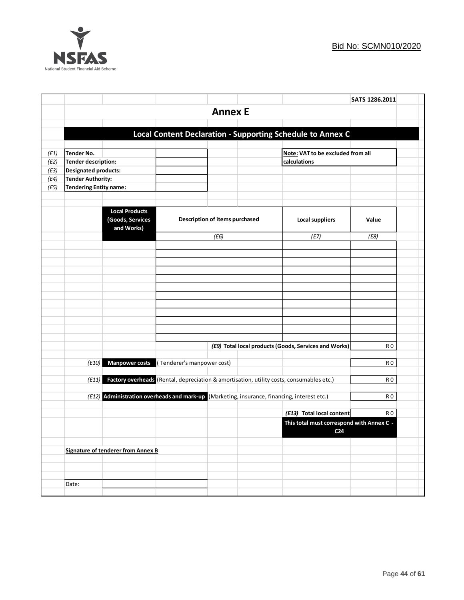

|      |                        |                                                                                             |                            |                                |                                                                                          | SATS 1286.2011 |  |
|------|------------------------|---------------------------------------------------------------------------------------------|----------------------------|--------------------------------|------------------------------------------------------------------------------------------|----------------|--|
|      |                        |                                                                                             |                            | <b>Annex E</b>                 |                                                                                          |                |  |
|      |                        |                                                                                             |                            |                                |                                                                                          |                |  |
|      |                        |                                                                                             |                            |                                | Local Content Declaration - Supporting Schedule to Annex C                               |                |  |
|      |                        |                                                                                             |                            |                                |                                                                                          |                |  |
| (E1) | <b>Tender No.</b>      |                                                                                             |                            |                                | Note: VAT to be excluded from all                                                        |                |  |
| (E2) | Tender description:    |                                                                                             |                            |                                | calculations                                                                             |                |  |
| (E3) | Designated products:   |                                                                                             |                            |                                |                                                                                          |                |  |
| (E4) | Tender Authority:      |                                                                                             |                            |                                |                                                                                          |                |  |
| (E5) | Tendering Entity name: |                                                                                             |                            |                                |                                                                                          |                |  |
|      |                        |                                                                                             |                            |                                |                                                                                          |                |  |
|      |                        | <b>Local Products</b><br>(Goods, Services<br>and Works)                                     |                            | Description of items purchased | <b>Local suppliers</b>                                                                   | Value          |  |
|      |                        |                                                                                             |                            | (E6)                           | (E7)                                                                                     | (E8)           |  |
|      |                        |                                                                                             |                            |                                |                                                                                          |                |  |
|      |                        |                                                                                             |                            |                                |                                                                                          |                |  |
|      |                        |                                                                                             |                            |                                |                                                                                          |                |  |
|      |                        |                                                                                             |                            |                                |                                                                                          |                |  |
|      |                        |                                                                                             |                            |                                |                                                                                          |                |  |
|      |                        |                                                                                             |                            |                                |                                                                                          |                |  |
|      |                        |                                                                                             |                            |                                |                                                                                          |                |  |
|      |                        |                                                                                             |                            |                                |                                                                                          |                |  |
|      |                        |                                                                                             |                            |                                |                                                                                          |                |  |
|      |                        |                                                                                             |                            |                                |                                                                                          |                |  |
|      |                        |                                                                                             |                            |                                | (E9) Total local products (Goods, Services and Works)                                    | R O            |  |
|      |                        |                                                                                             |                            |                                |                                                                                          |                |  |
|      | (E10)                  | <b>Manpower costs</b>                                                                       | (Tenderer's manpower cost) |                                |                                                                                          | R <sub>0</sub> |  |
|      | (E11)                  |                                                                                             |                            |                                | Factory overheads (Rental, depreciation & amortisation, utility costs, consumables etc.) | R0             |  |
|      |                        |                                                                                             |                            |                                |                                                                                          |                |  |
|      |                        | (E12) Administration overheads and mark-up (Marketing, insurance, financing, interest etc.) |                            |                                |                                                                                          | R O            |  |
|      |                        |                                                                                             |                            |                                |                                                                                          |                |  |
|      |                        |                                                                                             |                            |                                | (E13) Total local content                                                                | R <sub>0</sub> |  |
|      |                        |                                                                                             |                            |                                | This total must correspond with Annex C -<br>C <sub>24</sub>                             |                |  |
|      |                        |                                                                                             |                            |                                |                                                                                          |                |  |
|      |                        | Signature of tenderer from Annex B                                                          |                            |                                |                                                                                          |                |  |
|      |                        |                                                                                             |                            |                                |                                                                                          |                |  |
|      |                        |                                                                                             |                            |                                |                                                                                          |                |  |
|      | Date:                  |                                                                                             |                            |                                |                                                                                          |                |  |
|      |                        |                                                                                             |                            |                                |                                                                                          |                |  |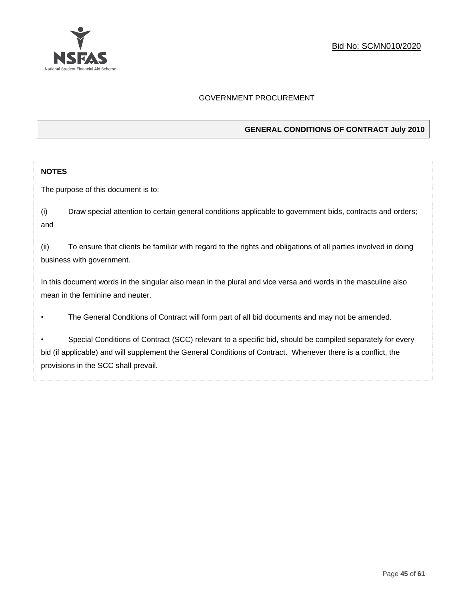

## GOVERNMENT PROCUREMENT

## **GENERAL CONDITIONS OF CONTRACT July 2010**

#### **NOTES**

The purpose of this document is to:

(i) Draw special attention to certain general conditions applicable to government bids, contracts and orders; and

(ii) To ensure that clients be familiar with regard to the rights and obligations of all parties involved in doing business with government.

In this document words in the singular also mean in the plural and vice versa and words in the masculine also mean in the feminine and neuter.

• The General Conditions of Contract will form part of all bid documents and may not be amended.

Special Conditions of Contract (SCC) relevant to a specific bid, should be compiled separately for every bid (if applicable) and will supplement the General Conditions of Contract. Whenever there is a conflict, the provisions in the SCC shall prevail.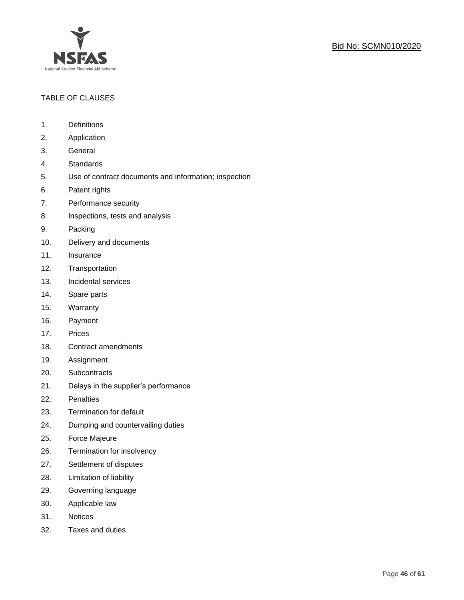

## TABLE OF CLAUSES

- 1. Definitions
- 2. Application
- 3. General
- 4. Standards
- 5. Use of contract documents and information; inspection
- 6. Patent rights
- 7. Performance security
- 8. Inspections, tests and analysis
- 9. Packing
- 10. Delivery and documents
- 11. Insurance
- 12. Transportation
- 13. Incidental services
- 14. Spare parts
- 15. Warranty
- 16. Payment
- 17. Prices
- 18. Contract amendments
- 19. Assignment
- 20. Subcontracts
- 21. Delays in the supplier's performance
- 22. Penalties
- 23. Termination for default
- 24. Dumping and countervailing duties
- 25. Force Majeure
- 26. Termination for insolvency
- 27. Settlement of disputes
- 28. Limitation of liability
- 29. Governing language
- 30. Applicable law
- 31. Notices
- 32. Taxes and duties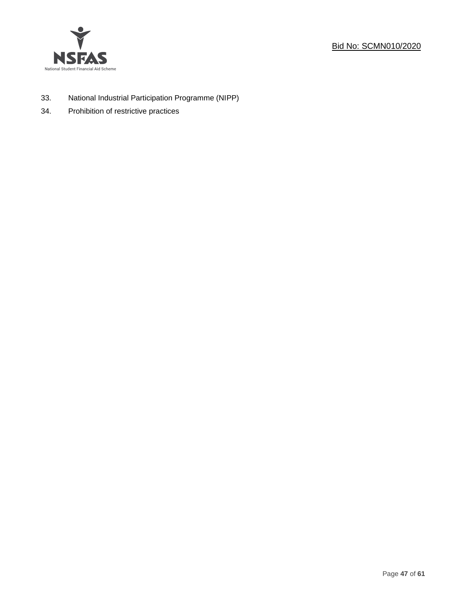



- 33. National Industrial Participation Programme (NIPP)
- 34. Prohibition of restrictive practices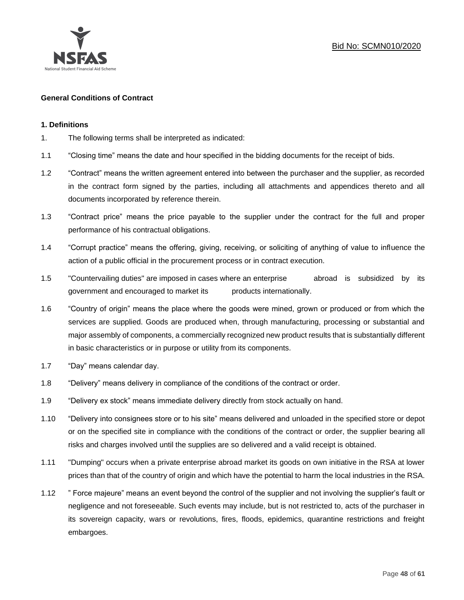

## **General Conditions of Contract**

#### **1. Definitions**

- 1. The following terms shall be interpreted as indicated:
- 1.1 "Closing time" means the date and hour specified in the bidding documents for the receipt of bids.
- 1.2 "Contract" means the written agreement entered into between the purchaser and the supplier, as recorded in the contract form signed by the parties, including all attachments and appendices thereto and all documents incorporated by reference therein.
- 1.3 "Contract price" means the price payable to the supplier under the contract for the full and proper performance of his contractual obligations.
- 1.4 "Corrupt practice" means the offering, giving, receiving, or soliciting of anything of value to influence the action of a public official in the procurement process or in contract execution.
- 1.5 "Countervailing duties" are imposed in cases where an enterprise abroad is subsidized by its government and encouraged to market its products internationally.
- 1.6 "Country of origin" means the place where the goods were mined, grown or produced or from which the services are supplied. Goods are produced when, through manufacturing, processing or substantial and major assembly of components, a commercially recognized new product results that is substantially different in basic characteristics or in purpose or utility from its components.
- 1.7 "Day" means calendar day.
- 1.8 "Delivery" means delivery in compliance of the conditions of the contract or order.
- 1.9 "Delivery ex stock" means immediate delivery directly from stock actually on hand.
- 1.10 "Delivery into consignees store or to his site" means delivered and unloaded in the specified store or depot or on the specified site in compliance with the conditions of the contract or order, the supplier bearing all risks and charges involved until the supplies are so delivered and a valid receipt is obtained.
- 1.11 "Dumping" occurs when a private enterprise abroad market its goods on own initiative in the RSA at lower prices than that of the country of origin and which have the potential to harm the local industries in the RSA.
- 1.12 " Force majeure" means an event beyond the control of the supplier and not involving the supplier's fault or negligence and not foreseeable. Such events may include, but is not restricted to, acts of the purchaser in its sovereign capacity, wars or revolutions, fires, floods, epidemics, quarantine restrictions and freight embargoes.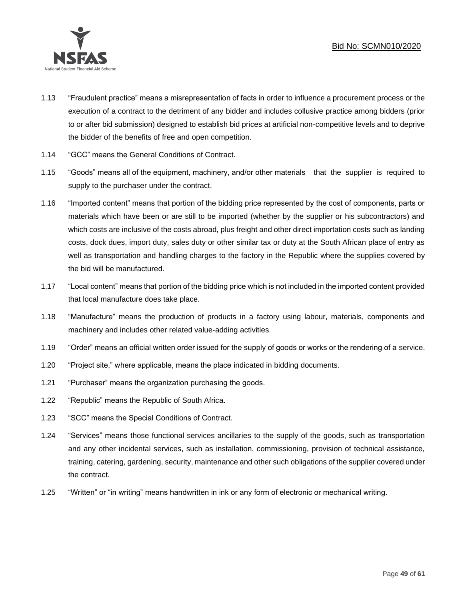

- 1.13 "Fraudulent practice" means a misrepresentation of facts in order to influence a procurement process or the execution of a contract to the detriment of any bidder and includes collusive practice among bidders (prior to or after bid submission) designed to establish bid prices at artificial non-competitive levels and to deprive the bidder of the benefits of free and open competition.
- 1.14 "GCC" means the General Conditions of Contract.
- 1.15 "Goods" means all of the equipment, machinery, and/or other materials that the supplier is required to supply to the purchaser under the contract.
- 1.16 "Imported content" means that portion of the bidding price represented by the cost of components, parts or materials which have been or are still to be imported (whether by the supplier or his subcontractors) and which costs are inclusive of the costs abroad, plus freight and other direct importation costs such as landing costs, dock dues, import duty, sales duty or other similar tax or duty at the South African place of entry as well as transportation and handling charges to the factory in the Republic where the supplies covered by the bid will be manufactured.
- 1.17 "Local content" means that portion of the bidding price which is not included in the imported content provided that local manufacture does take place.
- 1.18 "Manufacture" means the production of products in a factory using labour, materials, components and machinery and includes other related value-adding activities.
- 1.19 "Order" means an official written order issued for the supply of goods or works or the rendering of a service.
- 1.20 "Project site," where applicable, means the place indicated in bidding documents.
- 1.21 "Purchaser" means the organization purchasing the goods.
- 1.22 "Republic" means the Republic of South Africa.
- 1.23 "SCC" means the Special Conditions of Contract.
- 1.24 "Services" means those functional services ancillaries to the supply of the goods, such as transportation and any other incidental services, such as installation, commissioning, provision of technical assistance, training, catering, gardening, security, maintenance and other such obligations of the supplier covered under the contract.
- 1.25 "Written" or "in writing" means handwritten in ink or any form of electronic or mechanical writing.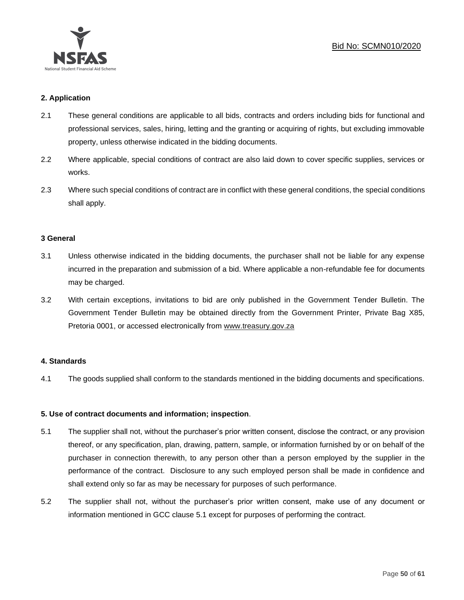

## **2. Application**

- 2.1 These general conditions are applicable to all bids, contracts and orders including bids for functional and professional services, sales, hiring, letting and the granting or acquiring of rights, but excluding immovable property, unless otherwise indicated in the bidding documents.
- 2.2 Where applicable, special conditions of contract are also laid down to cover specific supplies, services or works.
- 2.3 Where such special conditions of contract are in conflict with these general conditions, the special conditions shall apply.

#### **3 General**

- 3.1 Unless otherwise indicated in the bidding documents, the purchaser shall not be liable for any expense incurred in the preparation and submission of a bid. Where applicable a non-refundable fee for documents may be charged.
- 3.2 With certain exceptions, invitations to bid are only published in the Government Tender Bulletin. The Government Tender Bulletin may be obtained directly from the Government Printer, Private Bag X85, Pretoria 0001, or accessed electronically from [www.treasury.gov.za](http://www.treasury.gov.za/)

#### **4. Standards**

4.1 The goods supplied shall conform to the standards mentioned in the bidding documents and specifications.

## **5. Use of contract documents and information; inspection**.

- 5.1 The supplier shall not, without the purchaser's prior written consent, disclose the contract, or any provision thereof, or any specification, plan, drawing, pattern, sample, or information furnished by or on behalf of the purchaser in connection therewith, to any person other than a person employed by the supplier in the performance of the contract. Disclosure to any such employed person shall be made in confidence and shall extend only so far as may be necessary for purposes of such performance.
- 5.2 The supplier shall not, without the purchaser's prior written consent, make use of any document or information mentioned in GCC clause 5.1 except for purposes of performing the contract.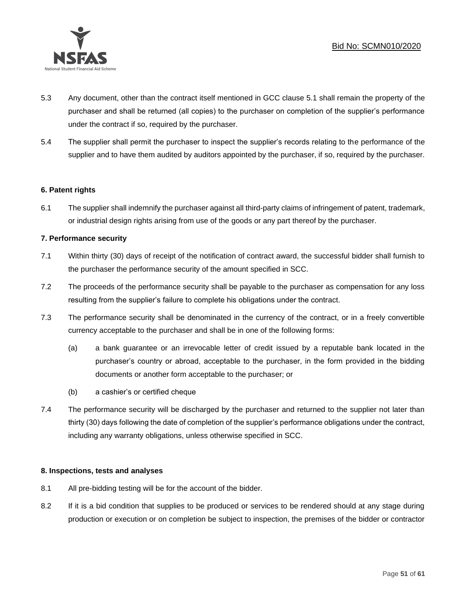

- 5.3 Any document, other than the contract itself mentioned in GCC clause 5.1 shall remain the property of the purchaser and shall be returned (all copies) to the purchaser on completion of the supplier's performance under the contract if so, required by the purchaser.
- 5.4 The supplier shall permit the purchaser to inspect the supplier's records relating to the performance of the supplier and to have them audited by auditors appointed by the purchaser, if so, required by the purchaser.

## **6. Patent rights**

6.1 The supplier shall indemnify the purchaser against all third-party claims of infringement of patent, trademark, or industrial design rights arising from use of the goods or any part thereof by the purchaser.

## **7. Performance security**

- 7.1 Within thirty (30) days of receipt of the notification of contract award, the successful bidder shall furnish to the purchaser the performance security of the amount specified in SCC.
- 7.2 The proceeds of the performance security shall be payable to the purchaser as compensation for any loss resulting from the supplier's failure to complete his obligations under the contract.
- 7.3 The performance security shall be denominated in the currency of the contract, or in a freely convertible currency acceptable to the purchaser and shall be in one of the following forms:
	- (a) a bank guarantee or an irrevocable letter of credit issued by a reputable bank located in the purchaser's country or abroad, acceptable to the purchaser, in the form provided in the bidding documents or another form acceptable to the purchaser; or
	- (b) a cashier's or certified cheque
- 7.4 The performance security will be discharged by the purchaser and returned to the supplier not later than thirty (30) days following the date of completion of the supplier's performance obligations under the contract, including any warranty obligations, unless otherwise specified in SCC.

## **8. Inspections, tests and analyses**

- 8.1 All pre-bidding testing will be for the account of the bidder.
- 8.2 If it is a bid condition that supplies to be produced or services to be rendered should at any stage during production or execution or on completion be subject to inspection, the premises of the bidder or contractor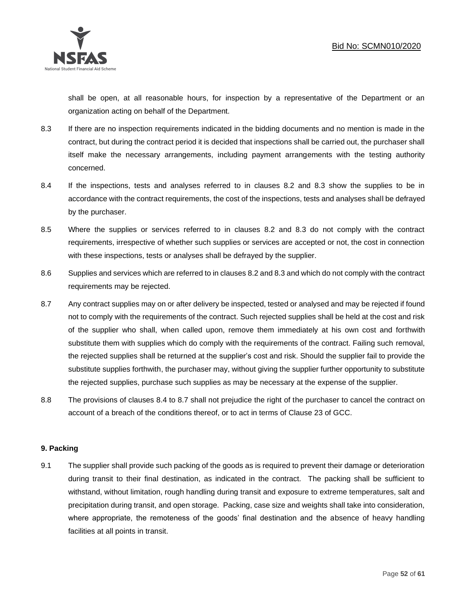

shall be open, at all reasonable hours, for inspection by a representative of the Department or an organization acting on behalf of the Department.

- 8.3 If there are no inspection requirements indicated in the bidding documents and no mention is made in the contract, but during the contract period it is decided that inspections shall be carried out, the purchaser shall itself make the necessary arrangements, including payment arrangements with the testing authority concerned.
- 8.4 If the inspections, tests and analyses referred to in clauses 8.2 and 8.3 show the supplies to be in accordance with the contract requirements, the cost of the inspections, tests and analyses shall be defrayed by the purchaser.
- 8.5 Where the supplies or services referred to in clauses 8.2 and 8.3 do not comply with the contract requirements, irrespective of whether such supplies or services are accepted or not, the cost in connection with these inspections, tests or analyses shall be defrayed by the supplier.
- 8.6 Supplies and services which are referred to in clauses 8.2 and 8.3 and which do not comply with the contract requirements may be rejected.
- 8.7 Any contract supplies may on or after delivery be inspected, tested or analysed and may be rejected if found not to comply with the requirements of the contract. Such rejected supplies shall be held at the cost and risk of the supplier who shall, when called upon, remove them immediately at his own cost and forthwith substitute them with supplies which do comply with the requirements of the contract. Failing such removal, the rejected supplies shall be returned at the supplier's cost and risk. Should the supplier fail to provide the substitute supplies forthwith, the purchaser may, without giving the supplier further opportunity to substitute the rejected supplies, purchase such supplies as may be necessary at the expense of the supplier.
- 8.8 The provisions of clauses 8.4 to 8.7 shall not prejudice the right of the purchaser to cancel the contract on account of a breach of the conditions thereof, or to act in terms of Clause 23 of GCC.

## **9. Packing**

9.1 The supplier shall provide such packing of the goods as is required to prevent their damage or deterioration during transit to their final destination, as indicated in the contract. The packing shall be sufficient to withstand, without limitation, rough handling during transit and exposure to extreme temperatures, salt and precipitation during transit, and open storage. Packing, case size and weights shall take into consideration, where appropriate, the remoteness of the goods' final destination and the absence of heavy handling facilities at all points in transit.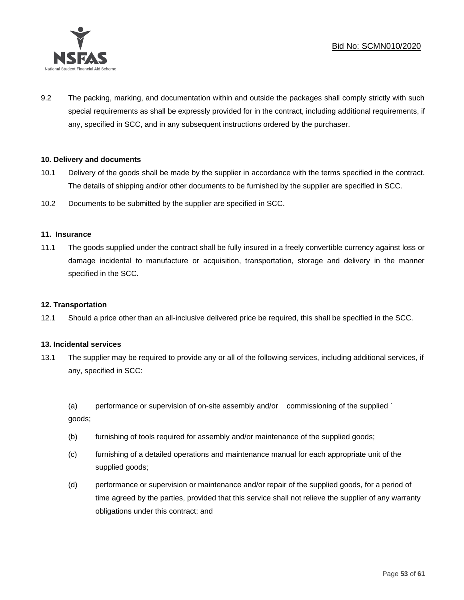

9.2 The packing, marking, and documentation within and outside the packages shall comply strictly with such special requirements as shall be expressly provided for in the contract, including additional requirements, if any, specified in SCC, and in any subsequent instructions ordered by the purchaser.

## **10. Delivery and documents**

- 10.1 Delivery of the goods shall be made by the supplier in accordance with the terms specified in the contract. The details of shipping and/or other documents to be furnished by the supplier are specified in SCC.
- 10.2 Documents to be submitted by the supplier are specified in SCC.

#### **11. Insurance**

11.1 The goods supplied under the contract shall be fully insured in a freely convertible currency against loss or damage incidental to manufacture or acquisition, transportation, storage and delivery in the manner specified in the SCC.

#### **12. Transportation**

12.1 Should a price other than an all-inclusive delivered price be required, this shall be specified in the SCC.

#### **13. Incidental services**

13.1 The supplier may be required to provide any or all of the following services, including additional services, if any, specified in SCC:

(a) performance or supervision of on-site assembly and/or commissioning of the supplied ` goods;

- (b) furnishing of tools required for assembly and/or maintenance of the supplied goods;
- (c) furnishing of a detailed operations and maintenance manual for each appropriate unit of the supplied goods;
- (d) performance or supervision or maintenance and/or repair of the supplied goods, for a period of time agreed by the parties, provided that this service shall not relieve the supplier of any warranty obligations under this contract; and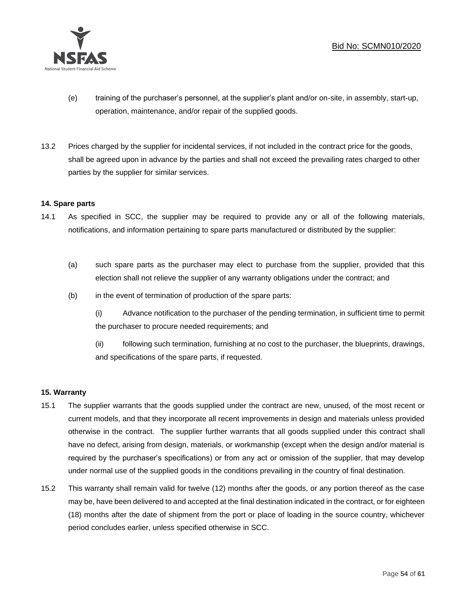

- (e) training of the purchaser's personnel, at the supplier's plant and/or on-site, in assembly, start-up, operation, maintenance, and/or repair of the supplied goods.
- 13.2 Prices charged by the supplier for incidental services, if not included in the contract price for the goods, shall be agreed upon in advance by the parties and shall not exceed the prevailing rates charged to other parties by the supplier for similar services.

## **14. Spare parts**

- 14.1 As specified in SCC, the supplier may be required to provide any or all of the following materials, notifications, and information pertaining to spare parts manufactured or distributed by the supplier:
	- (a) such spare parts as the purchaser may elect to purchase from the supplier, provided that this election shall not relieve the supplier of any warranty obligations under the contract; and
	- (b) in the event of termination of production of the spare parts:

(i) Advance notification to the purchaser of the pending termination, in sufficient time to permit the purchaser to procure needed requirements; and

(ii) following such termination, furnishing at no cost to the purchaser, the blueprints, drawings, and specifications of the spare parts, if requested.

## **15. Warranty**

- 15.1 The supplier warrants that the goods supplied under the contract are new, unused, of the most recent or current models, and that they incorporate all recent improvements in design and materials unless provided otherwise in the contract. The supplier further warrants that all goods supplied under this contract shall have no defect, arising from design, materials, or workmanship (except when the design and/or material is required by the purchaser's specifications) or from any act or omission of the supplier, that may develop under normal use of the supplied goods in the conditions prevailing in the country of final destination.
- 15.2 This warranty shall remain valid for twelve (12) months after the goods, or any portion thereof as the case may be, have been delivered to and accepted at the final destination indicated in the contract, or for eighteen (18) months after the date of shipment from the port or place of loading in the source country, whichever period concludes earlier, unless specified otherwise in SCC.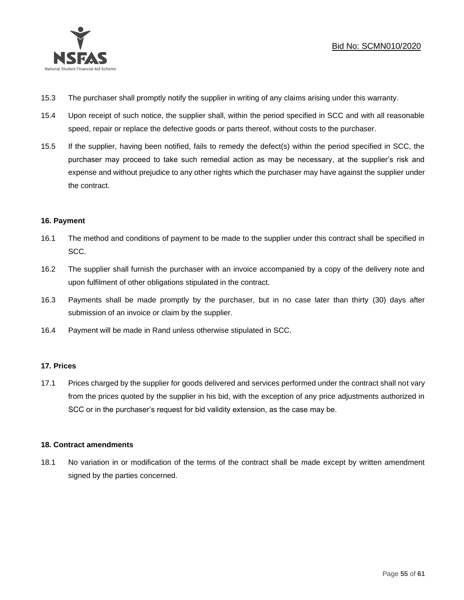

- 15.3 The purchaser shall promptly notify the supplier in writing of any claims arising under this warranty.
- 15.4 Upon receipt of such notice, the supplier shall, within the period specified in SCC and with all reasonable speed, repair or replace the defective goods or parts thereof, without costs to the purchaser.
- 15.5 If the supplier, having been notified, fails to remedy the defect(s) within the period specified in SCC, the purchaser may proceed to take such remedial action as may be necessary, at the supplier's risk and expense and without prejudice to any other rights which the purchaser may have against the supplier under the contract.

## **16. Payment**

- 16.1 The method and conditions of payment to be made to the supplier under this contract shall be specified in SCC.
- 16.2 The supplier shall furnish the purchaser with an invoice accompanied by a copy of the delivery note and upon fulfilment of other obligations stipulated in the contract.
- 16.3 Payments shall be made promptly by the purchaser, but in no case later than thirty (30) days after submission of an invoice or claim by the supplier.
- 16.4 Payment will be made in Rand unless otherwise stipulated in SCC.

## **17. Prices**

17.1 Prices charged by the supplier for goods delivered and services performed under the contract shall not vary from the prices quoted by the supplier in his bid, with the exception of any price adjustments authorized in SCC or in the purchaser's request for bid validity extension, as the case may be.

## **18. Contract amendments**

18.1 No variation in or modification of the terms of the contract shall be made except by written amendment signed by the parties concerned.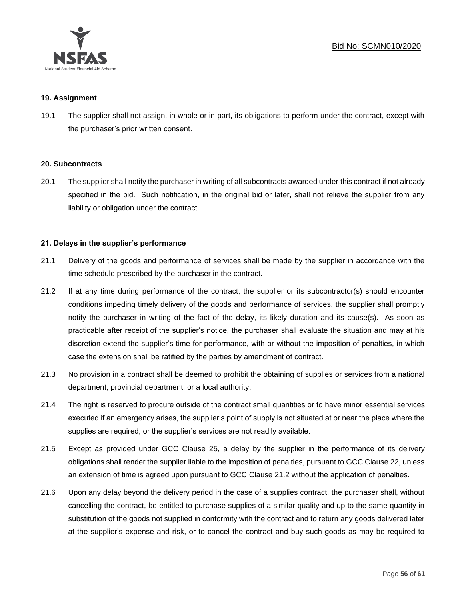

#### **19. Assignment**

19.1 The supplier shall not assign, in whole or in part, its obligations to perform under the contract, except with the purchaser's prior written consent.

#### **20. Subcontracts**

20.1 The supplier shall notify the purchaser in writing of all subcontracts awarded under this contract if not already specified in the bid. Such notification, in the original bid or later, shall not relieve the supplier from any liability or obligation under the contract.

## **21. Delays in the supplier's performance**

- 21.1 Delivery of the goods and performance of services shall be made by the supplier in accordance with the time schedule prescribed by the purchaser in the contract.
- 21.2 If at any time during performance of the contract, the supplier or its subcontractor(s) should encounter conditions impeding timely delivery of the goods and performance of services, the supplier shall promptly notify the purchaser in writing of the fact of the delay, its likely duration and its cause(s). As soon as practicable after receipt of the supplier's notice, the purchaser shall evaluate the situation and may at his discretion extend the supplier's time for performance, with or without the imposition of penalties, in which case the extension shall be ratified by the parties by amendment of contract.
- 21.3 No provision in a contract shall be deemed to prohibit the obtaining of supplies or services from a national department, provincial department, or a local authority.
- 21.4 The right is reserved to procure outside of the contract small quantities or to have minor essential services executed if an emergency arises, the supplier's point of supply is not situated at or near the place where the supplies are required, or the supplier's services are not readily available.
- 21.5 Except as provided under GCC Clause 25, a delay by the supplier in the performance of its delivery obligations shall render the supplier liable to the imposition of penalties, pursuant to GCC Clause 22, unless an extension of time is agreed upon pursuant to GCC Clause 21.2 without the application of penalties.
- 21.6 Upon any delay beyond the delivery period in the case of a supplies contract, the purchaser shall, without cancelling the contract, be entitled to purchase supplies of a similar quality and up to the same quantity in substitution of the goods not supplied in conformity with the contract and to return any goods delivered later at the supplier's expense and risk, or to cancel the contract and buy such goods as may be required to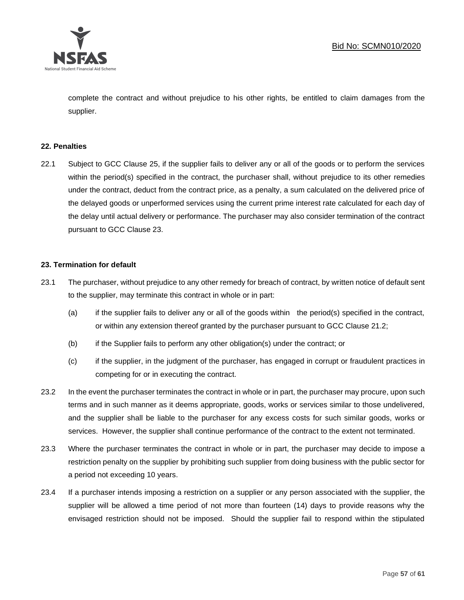

complete the contract and without prejudice to his other rights, be entitled to claim damages from the supplier.

#### **22. Penalties**

22.1 Subject to GCC Clause 25, if the supplier fails to deliver any or all of the goods or to perform the services within the period(s) specified in the contract, the purchaser shall, without prejudice to its other remedies under the contract, deduct from the contract price, as a penalty, a sum calculated on the delivered price of the delayed goods or unperformed services using the current prime interest rate calculated for each day of the delay until actual delivery or performance. The purchaser may also consider termination of the contract pursuant to GCC Clause 23.

#### **23. Termination for default**

- 23.1 The purchaser, without prejudice to any other remedy for breach of contract, by written notice of default sent to the supplier, may terminate this contract in whole or in part:
	- (a) if the supplier fails to deliver any or all of the goods within the period(s) specified in the contract, or within any extension thereof granted by the purchaser pursuant to GCC Clause 21.2;
	- (b) if the Supplier fails to perform any other obligation(s) under the contract; or
	- (c) if the supplier, in the judgment of the purchaser, has engaged in corrupt or fraudulent practices in competing for or in executing the contract.
- 23.2 In the event the purchaser terminates the contract in whole or in part, the purchaser may procure, upon such terms and in such manner as it deems appropriate, goods, works or services similar to those undelivered, and the supplier shall be liable to the purchaser for any excess costs for such similar goods, works or services. However, the supplier shall continue performance of the contract to the extent not terminated.
- 23.3 Where the purchaser terminates the contract in whole or in part, the purchaser may decide to impose a restriction penalty on the supplier by prohibiting such supplier from doing business with the public sector for a period not exceeding 10 years.
- 23.4 If a purchaser intends imposing a restriction on a supplier or any person associated with the supplier, the supplier will be allowed a time period of not more than fourteen (14) days to provide reasons why the envisaged restriction should not be imposed. Should the supplier fail to respond within the stipulated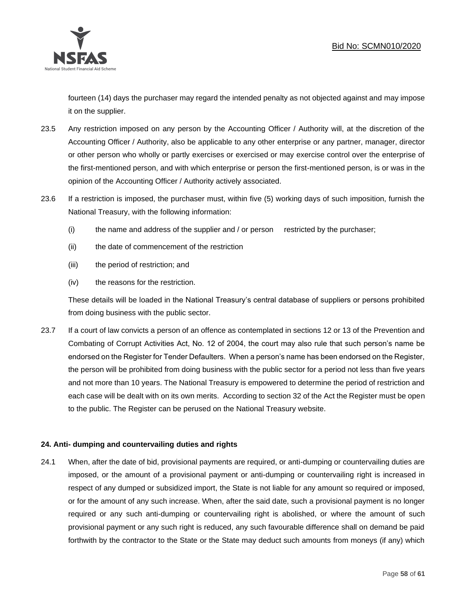

fourteen (14) days the purchaser may regard the intended penalty as not objected against and may impose it on the supplier.

- 23.5 Any restriction imposed on any person by the Accounting Officer / Authority will, at the discretion of the Accounting Officer / Authority, also be applicable to any other enterprise or any partner, manager, director or other person who wholly or partly exercises or exercised or may exercise control over the enterprise of the first-mentioned person, and with which enterprise or person the first-mentioned person, is or was in the opinion of the Accounting Officer / Authority actively associated.
- 23.6 If a restriction is imposed, the purchaser must, within five (5) working days of such imposition, furnish the National Treasury, with the following information:
	- (i) the name and address of the supplier and / or person restricted by the purchaser;
	- (ii) the date of commencement of the restriction
	- (iii) the period of restriction; and
	- (iv) the reasons for the restriction.

These details will be loaded in the National Treasury's central database of suppliers or persons prohibited from doing business with the public sector.

23.7 If a court of law convicts a person of an offence as contemplated in sections 12 or 13 of the Prevention and Combating of Corrupt Activities Act, No. 12 of 2004, the court may also rule that such person's name be endorsed on the Register for Tender Defaulters. When a person's name has been endorsed on the Register, the person will be prohibited from doing business with the public sector for a period not less than five years and not more than 10 years. The National Treasury is empowered to determine the period of restriction and each case will be dealt with on its own merits. According to section 32 of the Act the Register must be open to the public. The Register can be perused on the National Treasury website.

## **24. Anti- dumping and countervailing duties and rights**

24.1 When, after the date of bid, provisional payments are required, or anti-dumping or countervailing duties are imposed, or the amount of a provisional payment or anti-dumping or countervailing right is increased in respect of any dumped or subsidized import, the State is not liable for any amount so required or imposed, or for the amount of any such increase. When, after the said date, such a provisional payment is no longer required or any such anti-dumping or countervailing right is abolished, or where the amount of such provisional payment or any such right is reduced, any such favourable difference shall on demand be paid forthwith by the contractor to the State or the State may deduct such amounts from moneys (if any) which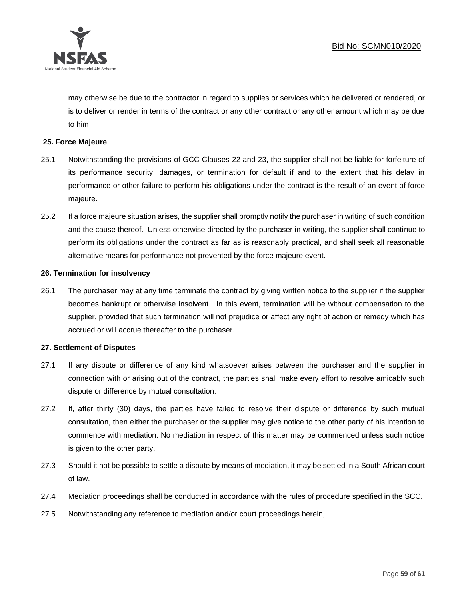

may otherwise be due to the contractor in regard to supplies or services which he delivered or rendered, or is to deliver or render in terms of the contract or any other contract or any other amount which may be due to him

#### **25. Force Majeure**

- 25.1 Notwithstanding the provisions of GCC Clauses 22 and 23, the supplier shall not be liable for forfeiture of its performance security, damages, or termination for default if and to the extent that his delay in performance or other failure to perform his obligations under the contract is the result of an event of force majeure.
- 25.2 If a force majeure situation arises, the supplier shall promptly notify the purchaser in writing of such condition and the cause thereof. Unless otherwise directed by the purchaser in writing, the supplier shall continue to perform its obligations under the contract as far as is reasonably practical, and shall seek all reasonable alternative means for performance not prevented by the force majeure event.

#### **26. Termination for insolvency**

26.1 The purchaser may at any time terminate the contract by giving written notice to the supplier if the supplier becomes bankrupt or otherwise insolvent. In this event, termination will be without compensation to the supplier, provided that such termination will not prejudice or affect any right of action or remedy which has accrued or will accrue thereafter to the purchaser.

#### **27. Settlement of Disputes**

- 27.1 If any dispute or difference of any kind whatsoever arises between the purchaser and the supplier in connection with or arising out of the contract, the parties shall make every effort to resolve amicably such dispute or difference by mutual consultation.
- 27.2 If, after thirty (30) days, the parties have failed to resolve their dispute or difference by such mutual consultation, then either the purchaser or the supplier may give notice to the other party of his intention to commence with mediation. No mediation in respect of this matter may be commenced unless such notice is given to the other party.
- 27.3 Should it not be possible to settle a dispute by means of mediation, it may be settled in a South African court of law.
- 27.4 Mediation proceedings shall be conducted in accordance with the rules of procedure specified in the SCC.
- 27.5 Notwithstanding any reference to mediation and/or court proceedings herein,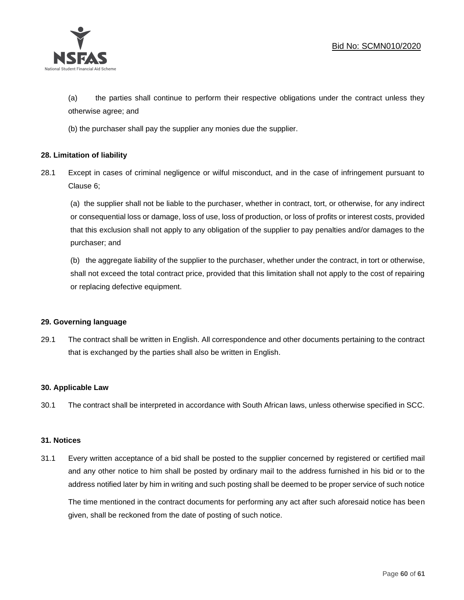

(a) the parties shall continue to perform their respective obligations under the contract unless they otherwise agree; and

(b) the purchaser shall pay the supplier any monies due the supplier.

## **28. Limitation of liability**

28.1 Except in cases of criminal negligence or wilful misconduct, and in the case of infringement pursuant to Clause 6;

(a) the supplier shall not be liable to the purchaser, whether in contract, tort, or otherwise, for any indirect or consequential loss or damage, loss of use, loss of production, or loss of profits or interest costs, provided that this exclusion shall not apply to any obligation of the supplier to pay penalties and/or damages to the purchaser; and

(b) the aggregate liability of the supplier to the purchaser, whether under the contract, in tort or otherwise, shall not exceed the total contract price, provided that this limitation shall not apply to the cost of repairing or replacing defective equipment.

#### **29. Governing language**

29.1 The contract shall be written in English. All correspondence and other documents pertaining to the contract that is exchanged by the parties shall also be written in English.

#### **30. Applicable Law**

30.1 The contract shall be interpreted in accordance with South African laws, unless otherwise specified in SCC.

#### **31. Notices**

31.1 Every written acceptance of a bid shall be posted to the supplier concerned by registered or certified mail and any other notice to him shall be posted by ordinary mail to the address furnished in his bid or to the address notified later by him in writing and such posting shall be deemed to be proper service of such notice

The time mentioned in the contract documents for performing any act after such aforesaid notice has been given, shall be reckoned from the date of posting of such notice.